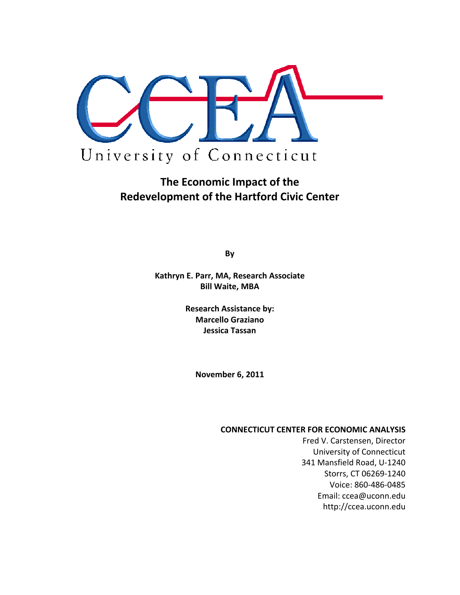

# **The Economic Impact of the Redevelopment of the Hartford Civic Center**

**By**

**Kathryn E. Parr, MA, Research Associate Bill Waite, MBA**

> **Research Assistance by: Marcello Graziano Jessica Tassan**

> > **November 6, 2011**

#### **CONNECTICUT CENTER FOR ECONOMIC ANALYSIS**

Fred V. Carstensen, Director University of Connecticut 341 Mansfield Road, U‐1240 Storrs, CT 06269‐1240 Voice: 860‐486‐0485 Email: ccea@uconn.edu http://ccea.uconn.edu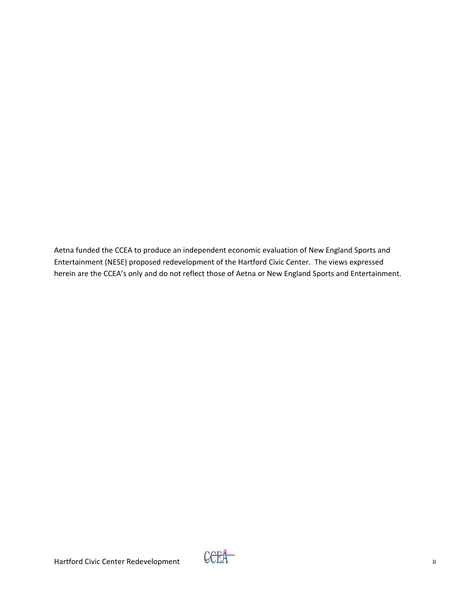Aetna funded the CCEA to produce an independent economic evaluation of New England Sports and Entertainment (NESE) proposed redevelopment of the Hartford Civic Center. The views expressed herein are the CCEA's only and do not reflect those of Aetna or New England Sports and Entertainment.

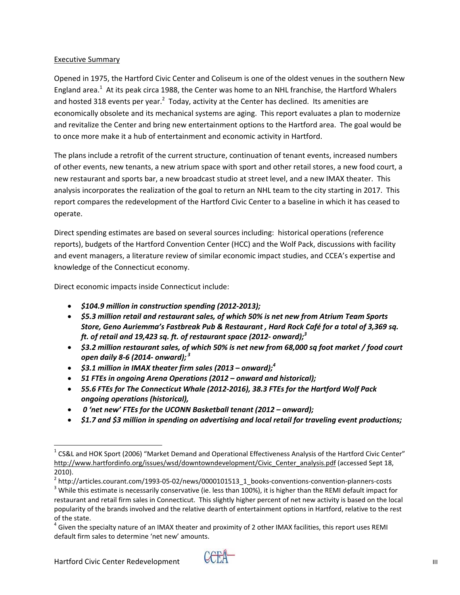#### Executive Summary

Opened in 1975, the Hartford Civic Center and Coliseum is one of the oldest venues in the southern New England area.<sup>1</sup> At its peak circa 1988, the Center was home to an NHL franchise, the Hartford Whalers and hosted 318 events per year.<sup>2</sup> Today, activity at the Center has declined. Its amenities are economically obsolete and its mechanical systems are aging. This report evaluates a plan to modernize and revitalize the Center and bring new entertainment options to the Hartford area. The goal would be to once more make it a hub of entertainment and economic activity in Hartford.

The plans include a retrofit of the current structure, continuation of tenant events, increased numbers of other events, new tenants, a new atrium space with sport and other retail stores, a new food court, a new restaurant and sports bar, a new broadcast studio at street level, and a new IMAX theater. This analysis incorporates the realization of the goal to return an NHL team to the city starting in 2017. This report compares the redevelopment of the Hartford Civic Center to a baseline in which it has ceased to operate.

Direct spending estimates are based on several sources including: historical operations (reference reports), budgets of the Hartford Convention Center (HCC) and the Wolf Pack, discussions with facility and event managers, a literature review of similar economic impact studies, and CCEA's expertise and knowledge of the Connecticut economy.

Direct economic impacts inside Connecticut include:

- *\$104.9 million in construction spending (2012‐2013);*
- *\$5.3 million retail and restaurant sales, of which 50% is net new from Atrium Team Sports Store, Geno Auriemma's Fastbreak Pub & Restaurant , Hard Rock Café for a total of 3,369 sq. ft. of retail and 19,423 sq. ft. of restaurant space (2012‐ onward);<sup>3</sup>*
- *\$3.2 million restaurant sales, of which 50% is net new from 68,000 sq foot market / food court open daily 8‐6 (2014‐ onward); <sup>3</sup>*
- *\$3.1 million in IMAX theater firm sales (2013 – onward);<sup>4</sup>*
- *51 FTEs in ongoing Arena Operations (2012 – onward and historical);*
- *55.6 FTEs for The Connecticut Whale (2012‐2016), 38.3 FTEs for the Hartford Wolf Pack ongoing operations (historical),*
- *0 'net new' FTEs for the UCONN Basketball tenant (2012 – onward);*
- *\$1.7 and \$3 million in spending on advertising and local retail for traveling event productions;*



 $1$  CS&L and HOK Sport (2006) "Market Demand and Operational Effectiveness Analysis of the Hartford Civic Center" http://www.hartfordinfo.org/issues/wsd/downtowndevelopment/Civic Center analysis.pdf (accessed Sept 18, 2010).

<sup>&</sup>lt;sup>2</sup> http://articles.courant.com/1993-05-02/news/0000101513\_1\_books-conventions-convention-planners-costs 3 While this estimate is necessarily conservative (ie. less than 100%), it is higher than the REMI default impact fo restaurant and retail firm sales in Connecticut. This slightly higher percent of net new activity is based on the local popularity of the brands involved and the relative dearth of entertainment options in Hartford, relative to the rest of the state.<br><sup>4</sup> Given the specialty nature of an IMAX theater and proximity of 2 other IMAX facilities, this report uses REMI

default firm sales to determine 'net new' amounts.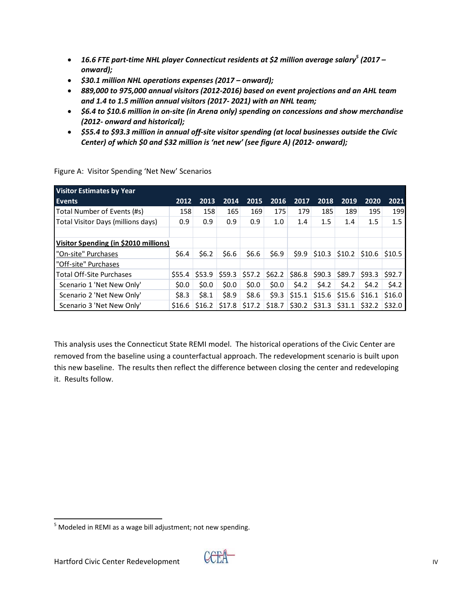- *16.6 FTE part‐time NHL player Connecticut residents at \$2 million average salary<sup>5</sup> (2017 – onward);*
- *\$30.1 million NHL operations expenses (2017 – onward);*
- *889,000 to 975,000 annual visitors (2012‐2016) based on event projections and an AHL team and 1.4 to 1.5 million annual visitors (2017‐ 2021) with an NHL team;*
- *\$6.4 to \$10.6 million in on‐site (in Arena only) spending on concessions and show merchandise (2012‐ onward and historical);*
- *\$55.4 to \$93.3 million in annual off‐site visitor spending (at local businesses outside the Civic Center) of which \$0 and \$32 million is 'net new' (see figure A) (2012‐ onward);*

| Visitor Estimates by Year             |         |          |        |         |                  |          |            |          |          |        |
|---------------------------------------|---------|----------|--------|---------|------------------|----------|------------|----------|----------|--------|
| <b>Events</b>                         | 2012    | 2013     | 2014   | 2015    | 2016             | 2017     | 2018       | 2019     | 2020     | 2021   |
| Total Number of Events (#s)           | 158     | 158      | 165    | 169     | 175              | 179      | 185        | 189      | 195      | 199    |
| Total Visitor Days (millions days)    | 0.9     | 0.9      | 0.9    | 0.9     | 1.0 <sub>1</sub> | 1.4      | 1.5        | 1.4      | 1.5      | 1.5    |
|                                       |         |          |        |         |                  |          |            |          |          |        |
| Visitor Spending (in \$2010 millions) |         |          |        |         |                  |          |            |          |          |        |
| "On-site" Purchases                   | \$6.4\$ | \$6.2\$  | \$6.6  | \$6.6   | \$6.9            | 59.9     | \$10.3\$   | \$10.2\$ | \$10.6   | \$10.5 |
| "Off-site" Purchases                  |         |          |        |         |                  |          |            |          |          |        |
| <b>Total Off-Site Purchases</b>       | \$55.4  | \$53.9   | \$59.3 | \$57.2  | \$62.2\$         | \$86.8   | $ $ \$90.3 | \$89.7   | \$93.3   | \$92.7 |
| Scenario 1 'Net New Only'             | 50.0    | 50.0     | 50.0   | \$0.0\$ | \$0.0\$          | 54.2     | \$4.2      | 54.2     | \$4.2    | 54.2   |
| Scenario 2 'Net New Only'             | \$8.3   | \$8.1    | \$8.9  | \$8.6   | 59.3             | \$15.1   | \$15.6     | \$15.6   | \$16.1   | \$16.0 |
| Scenario 3 'Net New Only'             | \$16.6  | \$16.2\$ | \$17.8 | \$17.2  | \$18.7           | \$30.2\$ | \$31.3     | \$31.1   | \$32.2\$ | \$32.0 |

Figure A: Visitor Spending 'Net New' Scenarios

This analysis uses the Connecticut State REMI model. The historical operations of the Civic Center are removed from the baseline using a counterfactual approach. The redevelopment scenario is built upon this new baseline. The results then reflect the difference between closing the center and redeveloping it. Results follow.



  $<sup>5</sup>$  Modeled in REMI as a wage bill adjustment; not new spending.</sup>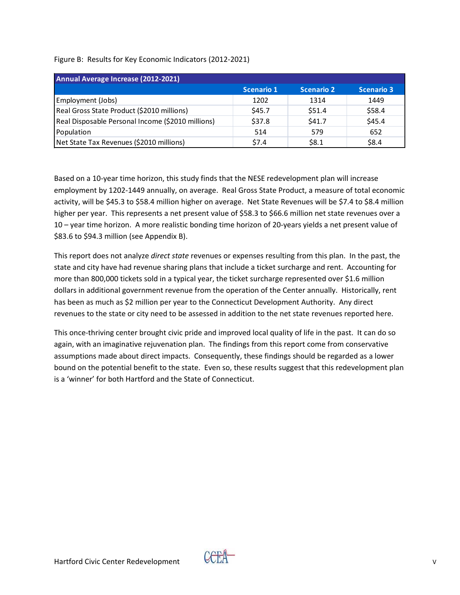| Figure B: Results for Key Economic Indicators (2012-2021) |  |  |  |  |  |
|-----------------------------------------------------------|--|--|--|--|--|
|-----------------------------------------------------------|--|--|--|--|--|

| Annual Average Increase (2012-2021)               |                   |                   |                   |
|---------------------------------------------------|-------------------|-------------------|-------------------|
|                                                   | <b>Scenario 1</b> | <b>Scenario 2</b> | <b>Scenario 3</b> |
| Employment (Jobs)                                 | 1202              | 1314              | 1449              |
| Real Gross State Product (\$2010 millions)        | \$45.7            | \$51.4            | \$58.4            |
| Real Disposable Personal Income (\$2010 millions) | \$37.8            | \$41.7            | \$45.4            |
| Population                                        | 514               | 579               | 652               |
| Net State Tax Revenues (\$2010 millions)          | \$7.4             | \$8.1             | \$8.4             |

Based on a 10‐year time horizon, this study finds that the NESE redevelopment plan will increase employment by 1202‐1449 annually, on average. Real Gross State Product, a measure of total economic activity, will be \$45.3 to \$58.4 million higher on average. Net State Revenues will be \$7.4 to \$8.4 million higher per year. This represents a net present value of \$58.3 to \$66.6 million net state revenues over a 10 – year time horizon. A more realistic bonding time horizon of 20‐years yields a net present value of \$83.6 to \$94.3 million (see Appendix B).

This report does not analyze *direct state* revenues or expenses resulting from this plan. In the past, the state and city have had revenue sharing plans that include a ticket surcharge and rent. Accounting for more than 800,000 tickets sold in a typical year, the ticket surcharge represented over \$1.6 million dollars in additional government revenue from the operation of the Center annually. Historically, rent has been as much as \$2 million per year to the Connecticut Development Authority. Any direct revenues to the state or city need to be assessed in addition to the net state revenues reported here.

This once-thriving center brought civic pride and improved local quality of life in the past. It can do so again, with an imaginative rejuvenation plan. The findings from this report come from conservative assumptions made about direct impacts. Consequently, these findings should be regarded as a lower bound on the potential benefit to the state. Even so, these results suggest that this redevelopment plan is a 'winner' for both Hartford and the State of Connecticut.

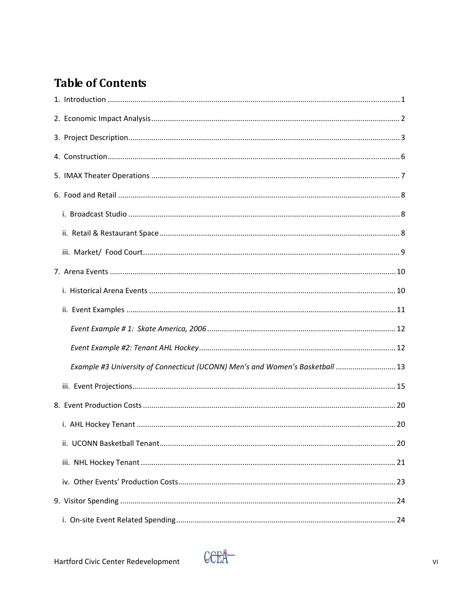# **Table of Contents**

| Example #3 University of Connecticut (UCONN) Men's and Women's Basketball  13 |  |
|-------------------------------------------------------------------------------|--|
|                                                                               |  |
|                                                                               |  |
|                                                                               |  |
|                                                                               |  |
|                                                                               |  |
|                                                                               |  |
|                                                                               |  |
|                                                                               |  |

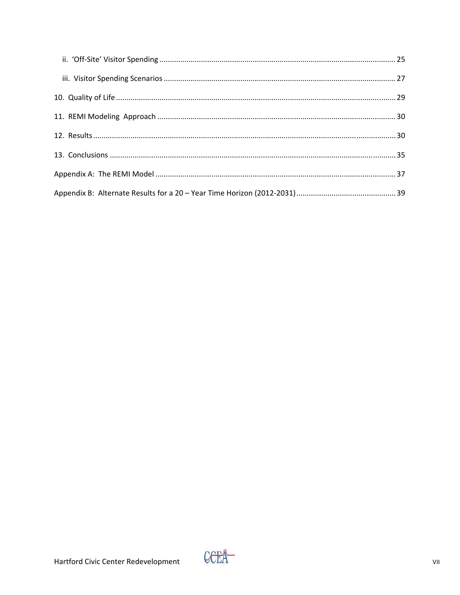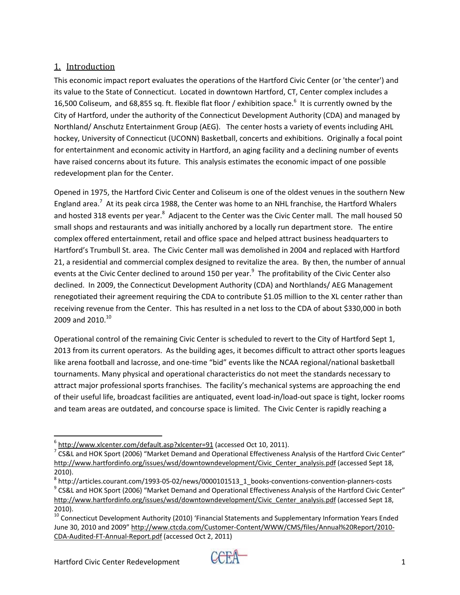# 1. Introduction

This economic impact report evaluates the operations of the Hartford Civic Center (or 'the center') and its value to the State of Connecticut. Located in downtown Hartford, CT, Center complex includes a 16,500 Coliseum, and 68,855 sq. ft. flexible flat floor / exhibition space.<sup>6</sup> It is currently owned by the City of Hartford, under the authority of the Connecticut Development Authority (CDA) and managed by Northland/ Anschutz Entertainment Group (AEG). The center hosts a variety of events including AHL hockey, University of Connecticut (UCONN) Basketball, concerts and exhibitions. Originally a focal point for entertainment and economic activity in Hartford, an aging facility and a declining number of events have raised concerns about its future. This analysis estimates the economic impact of one possible redevelopment plan for the Center.

Opened in 1975, the Hartford Civic Center and Coliseum is one of the oldest venues in the southern New England area.<sup>7</sup> At its peak circa 1988, the Center was home to an NHL franchise, the Hartford Whalers and hosted 318 events per year.<sup>8</sup> Adjacent to the Center was the Civic Center mall. The mall housed 50 small shops and restaurants and was initially anchored by a locally run department store. The entire complex offered entertainment, retail and office space and helped attract business headquarters to Hartford's Trumbull St. area. The Civic Center mall was demolished in 2004 and replaced with Hartford 21, a residential and commercial complex designed to revitalize the area. By then, the number of annual events at the Civic Center declined to around 150 per year.<sup>9</sup> The profitability of the Civic Center also declined. In 2009, the Connecticut Development Authority (CDA) and Northlands/ AEG Management renegotiated their agreement requiring the CDA to contribute \$1.05 million to the XL center rather than receiving revenue from the Center. This has resulted in a net loss to the CDA of about \$330,000 in both 2009 and 2010.<sup>10</sup>

Operational control of the remaining Civic Center is scheduled to revert to the City of Hartford Sept 1, 2013 from its current operators. As the building ages, it becomes difficult to attract other sports leagues like arena football and lacrosse, and one‐time "bid" events like the NCAA regional/national basketball tournaments. Many physical and operational characteristics do not meet the standards necessary to attract major professional sports franchises. The facility's mechanical systems are approaching the end of their useful life, broadcast facilities are antiquated, event load‐in/load‐out space is tight, locker rooms and team areas are outdated, and concourse space is limited. The Civic Center is rapidly reaching a



 $^6$  <u>http://www.xlcenter.com/default.asp?xlcenter=91</u> (accessed Oct 10, 2011).<br><sup>7</sup> CS&L and HOK Sport (2006) "Market Demand and Operational Effectiveness Analysis of the Hartford Civic Center" http://www.hartfordinfo.org/issues/wsd/downtowndevelopment/Civic Center analysis.pdf (accessed Sept 18, 2010).

<sup>&</sup>lt;sup>8</sup> http://articles.courant.com/1993‐05‐02/news/0000101513\_1\_books‐conventions‐convention‐planners‐costs 9 CS&L and HOK Sport (2006) "Market Demand and Operational Effectiveness Analysis of the Hartford Civic Center" http://www.hartfordinfo.org/issues/wsd/downtowndevelopment/Civic\_Center\_analysis.pdf (accessed Sept 18, 2010).

<sup>&</sup>lt;sup>10</sup> Connecticut Development Authority (2010) 'Financial Statements and Supplementary Information Years Ended June 30, 2010 and 2009" http://www.ctcda.com/Customer‐Content/WWW/CMS/files/Annual%20Report/2010‐ CDA‐Audited‐FT‐Annual‐Report.pdf (accessed Oct 2, 2011)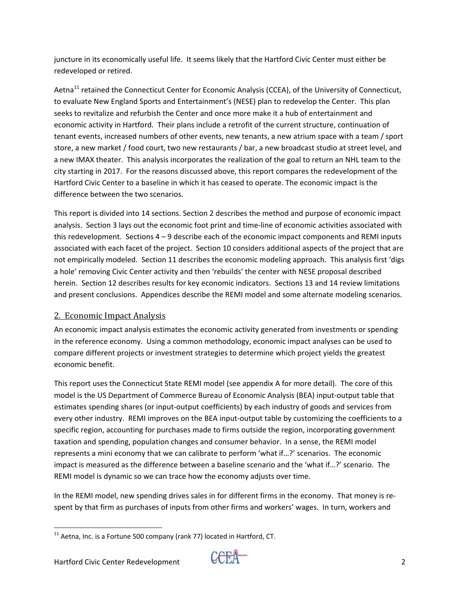juncture in its economically useful life. It seems likely that the Hartford Civic Center must either be redeveloped or retired.

Aetna<sup>11</sup> retained the Connecticut Center for Economic Analysis (CCEA), of the University of Connecticut, to evaluate New England Sports and Entertainment's (NESE) plan to redevelop the Center. This plan seeks to revitalize and refurbish the Center and once more make it a hub of entertainment and economic activity in Hartford. Their plans include a retrofit of the current structure, continuation of tenant events, increased numbers of other events, new tenants, a new atrium space with a team / sport store, a new market / food court, two new restaurants / bar, a new broadcast studio at street level, and a new IMAX theater. This analysis incorporates the realization of the goal to return an NHL team to the city starting in 2017. For the reasons discussed above, this report compares the redevelopment of the Hartford Civic Center to a baseline in which it has ceased to operate. The economic impact is the difference between the two scenarios.

This report is divided into 14 sections. Section 2 describes the method and purpose of economic impact analysis. Section 3 lays out the economic foot print and time-line of economic activities associated with this redevelopment. Sections 4 – 9 describe each of the economic impact components and REMI inputs associated with each facet of the project. Section 10 considers additional aspects of the project that are not empirically modeled. Section 11 describes the economic modeling approach. This analysis first 'digs a hole' removing Civic Center activity and then 'rebuilds' the center with NESE proposal described herein. Section 12 describes results for key economic indicators. Sections 13 and 14 review limitations and present conclusions. Appendices describe the REMI model and some alternate modeling scenarios.

#### 2. Economic Impact Analysis

An economic impact analysis estimates the economic activity generated from investments or spending in the reference economy. Using a common methodology, economic impact analyses can be used to compare different projects or investment strategies to determine which project yields the greatest economic benefit.

This report uses the Connecticut State REMI model (see appendix A for more detail). The core of this model is the US Department of Commerce Bureau of Economic Analysis (BEA) input‐output table that estimates spending shares (or input‐output coefficients) by each industry of goods and services from every other industry. REMI improves on the BEA input‐output table by customizing the coefficients to a specific region, accounting for purchases made to firms outside the region, incorporating government taxation and spending, population changes and consumer behavior. In a sense, the REMI model represents a mini economy that we can calibrate to perform 'what if…?' scenarios. The economic impact is measured as the difference between a baseline scenario and the 'what if…?' scenario. The REMI model is dynamic so we can trace how the economy adjusts over time.

In the REMI model, new spending drives sales in for different firms in the economy. That money is respent by that firm as purchases of inputs from other firms and workers' wages. In turn, workers and



  $11$  Aetna, Inc. is a Fortune 500 company (rank 77) located in Hartford, CT.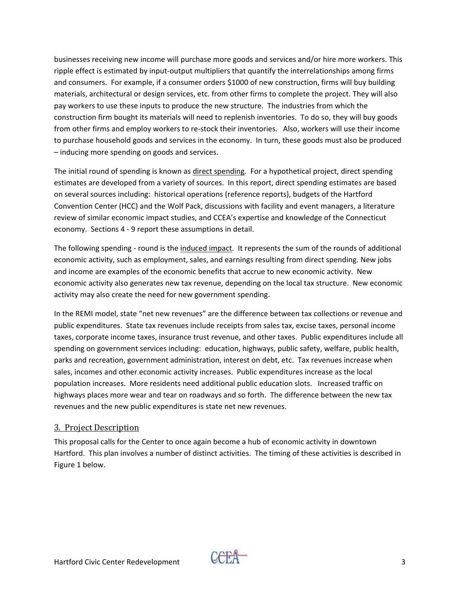businesses receiving new income will purchase more goods and services and/or hire more workers. This ripple effect is estimated by input‐output multipliers that quantify the interrelationships among firms and consumers. For example, if a consumer orders \$1000 of new construction, firms will buy building materials, architectural or design services, etc. from other firms to complete the project. They will also pay workers to use these inputs to produce the new structure. The industries from which the construction firm bought its materials will need to replenish inventories. To do so, they will buy goods from other firms and employ workers to re‐stock their inventories. Also, workers will use their income to purchase household goods and services in the economy. In turn, these goods must also be produced – inducing more spending on goods and services.

The initial round of spending is known as direct spending. For a hypothetical project, direct spending estimates are developed from a variety of sources. In this report, direct spending estimates are based on several sources including: historical operations (reference reports), budgets of the Hartford Convention Center (HCC) and the Wolf Pack, discussions with facility and event managers, a literature review of similar economic impact studies, and CCEA's expertise and knowledge of the Connecticut economy. Sections 4 ‐ 9 report these assumptions in detail.

The following spending ‐ round is the induced impact. It represents the sum of the rounds of additional economic activity, such as employment, sales, and earnings resulting from direct spending. New jobs and income are examples of the economic benefits that accrue to new economic activity. New economic activity also generates new tax revenue, depending on the local tax structure. New economic activity may also create the need for new government spending.

In the REMI model, state "net new revenues" are the difference between tax collections or revenue and public expenditures. State tax revenues include receipts from sales tax, excise taxes, personal income taxes, corporate income taxes, insurance trust revenue, and other taxes. Public expenditures include all spending on government services including: education, highways, public safety, welfare, public health, parks and recreation, government administration, interest on debt, etc. Tax revenues increase when sales, incomes and other economic activity increases. Public expenditures increase as the local population increases. More residents need additional public education slots. Increased traffic on highways places more wear and tear on roadways and so forth. The difference between the new tax revenues and the new public expenditures is state net new revenues.

#### 3. Project Description

This proposal calls for the Center to once again become a hub of economic activity in downtown Hartford. This plan involves a number of distinct activities. The timing of these activities is described in Figure 1 below.

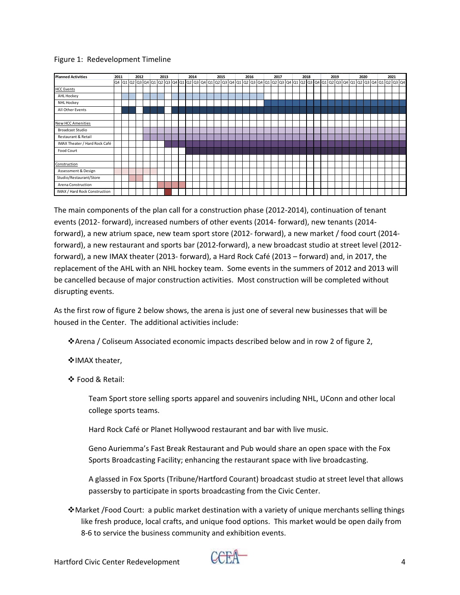#### Figure 1: Redevelopment Timeline

| <b>Planned Activities</b>     | 2011 |  | 2012 |  | 2013 |  | 2014 |  | 2015 |  | 2016 |  |  | 2017 |  | 2018 |  |  | 2019 |  | 2020 |  |                                                                                                                                                                | 2021 |  |
|-------------------------------|------|--|------|--|------|--|------|--|------|--|------|--|--|------|--|------|--|--|------|--|------|--|----------------------------------------------------------------------------------------------------------------------------------------------------------------|------|--|
|                               |      |  |      |  |      |  |      |  |      |  |      |  |  |      |  |      |  |  |      |  |      |  | 04 01 02 03 04 01 02 03 04 01 02 03 04 01 02 03 04 01 02 03 04 01 02 03 04 01 02 03 04 01 02 03 04 01 02 03 04 01 02 03 04 01 02 03 04 01 02 03 04 01 02 03 04 |      |  |
| <b>HCC Events</b>             |      |  |      |  |      |  |      |  |      |  |      |  |  |      |  |      |  |  |      |  |      |  |                                                                                                                                                                |      |  |
| AHL Hockey                    |      |  |      |  |      |  |      |  |      |  |      |  |  |      |  |      |  |  |      |  |      |  |                                                                                                                                                                |      |  |
| NHL Hockey                    |      |  |      |  |      |  |      |  |      |  |      |  |  |      |  |      |  |  |      |  |      |  |                                                                                                                                                                |      |  |
| All Other Events              |      |  |      |  |      |  |      |  |      |  |      |  |  |      |  |      |  |  |      |  |      |  |                                                                                                                                                                |      |  |
|                               |      |  |      |  |      |  |      |  |      |  |      |  |  |      |  |      |  |  |      |  |      |  |                                                                                                                                                                |      |  |
| <b>New HCC Amenities</b>      |      |  |      |  |      |  |      |  |      |  |      |  |  |      |  |      |  |  |      |  |      |  |                                                                                                                                                                |      |  |
| <b>Broadcast Studio</b>       |      |  |      |  |      |  |      |  |      |  |      |  |  |      |  |      |  |  |      |  |      |  |                                                                                                                                                                |      |  |
| Restaurant & Retail           |      |  |      |  |      |  |      |  |      |  |      |  |  |      |  |      |  |  |      |  |      |  |                                                                                                                                                                |      |  |
| IMAX Theater / Hard Rock Café |      |  |      |  |      |  |      |  |      |  |      |  |  |      |  |      |  |  |      |  |      |  |                                                                                                                                                                |      |  |
| Food Court                    |      |  |      |  |      |  |      |  |      |  |      |  |  |      |  |      |  |  |      |  |      |  |                                                                                                                                                                |      |  |
|                               |      |  |      |  |      |  |      |  |      |  |      |  |  |      |  |      |  |  |      |  |      |  |                                                                                                                                                                |      |  |
| Construction                  |      |  |      |  |      |  |      |  |      |  |      |  |  |      |  |      |  |  |      |  |      |  |                                                                                                                                                                |      |  |
| Assessment & Design           |      |  |      |  |      |  |      |  |      |  |      |  |  |      |  |      |  |  |      |  |      |  |                                                                                                                                                                |      |  |
| Studio/Restaurant/Store       |      |  |      |  |      |  |      |  |      |  |      |  |  |      |  |      |  |  |      |  |      |  |                                                                                                                                                                |      |  |
| Arena Construction            |      |  |      |  |      |  |      |  |      |  |      |  |  |      |  |      |  |  |      |  |      |  |                                                                                                                                                                |      |  |
| IMAX / Hard Rock Construction |      |  |      |  |      |  |      |  |      |  |      |  |  |      |  |      |  |  |      |  |      |  |                                                                                                                                                                |      |  |

The main components of the plan call for a construction phase (2012‐2014), continuation of tenant events (2012‐ forward), increased numbers of other events (2014‐ forward), new tenants (2014‐ forward), a new atrium space, new team sport store (2012‐ forward), a new market / food court (2014‐ forward), a new restaurant and sports bar (2012‐forward), a new broadcast studio at street level (2012‐ forward), a new IMAX theater (2013‐ forward), a Hard Rock Café (2013 – forward) and, in 2017, the replacement of the AHL with an NHL hockey team. Some events in the summers of 2012 and 2013 will be cancelled because of major construction activities. Most construction will be completed without disrupting events.

As the first row of figure 2 below shows, the arena is just one of several new businesses that will be housed in the Center. The additional activities include:

Arena / Coliseum Associated economic impacts described below and in row 2 of figure 2,

❖ IMAX theater,

Food & Retail:

Team Sport store selling sports apparel and souvenirs including NHL, UConn and other local college sports teams.

Hard Rock Café or Planet Hollywood restaurant and bar with live music.

Geno Auriemma's Fast Break Restaurant and Pub would share an open space with the Fox Sports Broadcasting Facility; enhancing the restaurant space with live broadcasting.

A glassed in Fox Sports (Tribune/Hartford Courant) broadcast studio at street level that allows passersby to participate in sports broadcasting from the Civic Center.

Market /Food Court: a public market destination with a variety of unique merchants selling things like fresh produce, local crafts, and unique food options. This market would be open daily from 8‐6 to service the business community and exhibition events.

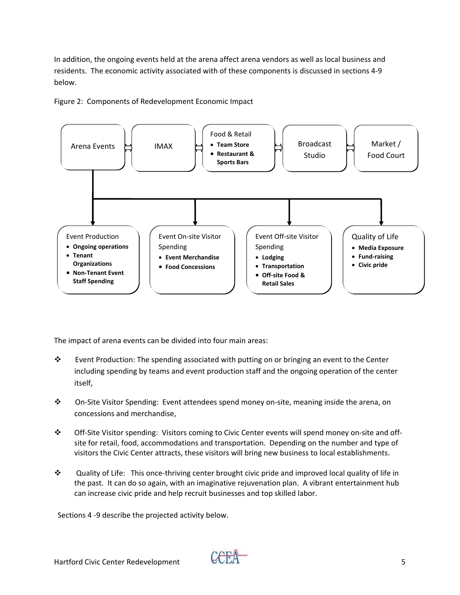In addition, the ongoing events held at the arena affect arena vendors as well as local business and residents. The economic activity associated with of these components is discussed in sections 4‐9 below.

Figure 2: Components of Redevelopment Economic Impact



The impact of arena events can be divided into four main areas:

- \* Event Production: The spending associated with putting on or bringing an event to the Center including spending by teams and event production staff and the ongoing operation of the center itself,
- On‐Site Visitor Spending: Event attendees spend money on‐site, meaning inside the arena, on concessions and merchandise,
- Off‐Site Visitor spending: Visitors coming to Civic Center events will spend money on‐site and off‐ site for retail, food, accommodations and transportation. Depending on the number and type of visitors the Civic Center attracts, these visitors will bring new business to local establishments.
- Quality of Life: This once‐thriving center brought civic pride and improved local quality of life in the past. It can do so again, with an imaginative rejuvenation plan. A vibrant entertainment hub can increase civic pride and help recruit businesses and top skilled labor.

Sections 4 ‐9 describe the projected activity below.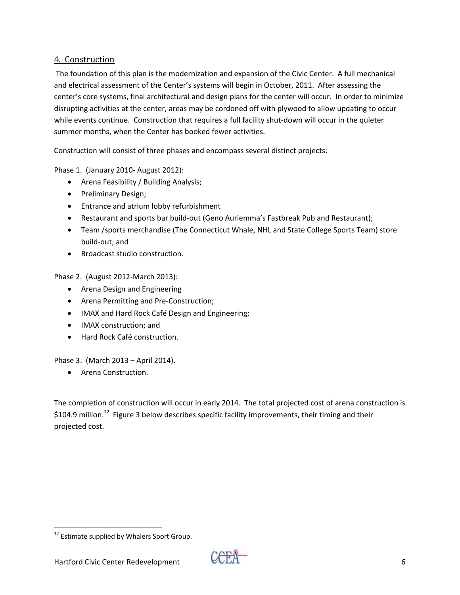## 4. Construction

The foundation of this plan is the modernization and expansion of the Civic Center. A full mechanical and electrical assessment of the Center's systems will begin in October, 2011. After assessing the center's core systems, final architectural and design plans for the center will occur. In order to minimize disrupting activities at the center, areas may be cordoned off with plywood to allow updating to occur while events continue. Construction that requires a full facility shut-down will occur in the quieter summer months, when the Center has booked fewer activities.

Construction will consist of three phases and encompass several distinct projects:

Phase 1. (January 2010‐ August 2012):

- Arena Feasibility / Building Analysis;
- Preliminary Design;
- **•** Entrance and atrium lobby refurbishment
- Restaurant and sports bar build-out (Geno Auriemma's Fastbreak Pub and Restaurant);
- Team /sports merchandise (The Connecticut Whale, NHL and State College Sports Team) store build‐out; and
- Broadcast studio construction.

Phase 2. (August 2012‐March 2013):

- **•** Arena Design and Engineering
- Arena Permitting and Pre-Construction;
- IMAX and Hard Rock Café Design and Engineering;
- IMAX construction: and
- Hard Rock Café construction.

Phase 3. (March 2013 – April 2014).

Arena Construction.

The completion of construction will occur in early 2014. The total projected cost of arena construction is \$104.9 million.<sup>12</sup> Figure 3 below describes specific facility improvements, their timing and their projected cost.



<sup>&</sup>lt;sup>12</sup> Estimate supplied by Whalers Sport Group.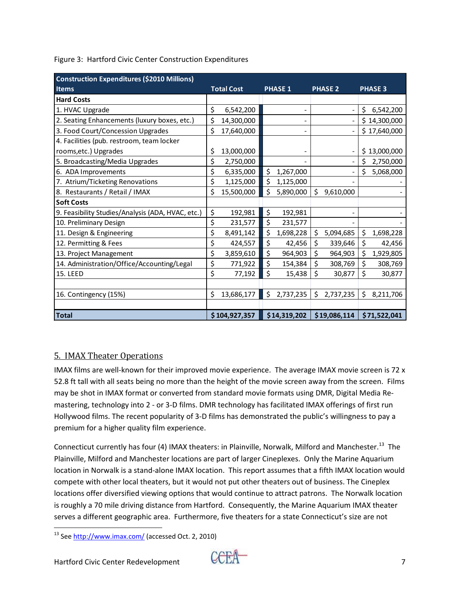| <b>Construction Expenditures (\$2010 Millions)</b> |                   |    |                |                 |                 |
|----------------------------------------------------|-------------------|----|----------------|-----------------|-----------------|
| <b>Items</b>                                       | <b>Total Cost</b> |    | <b>PHASE 1</b> | <b>PHASE 2</b>  | <b>PHASE 3</b>  |
| <b>Hard Costs</b>                                  |                   |    |                |                 |                 |
| 1. HVAC Upgrade                                    | \$<br>6,542,200   |    |                |                 | \$<br>6,542,200 |
| 2. Seating Enhancements (luxury boxes, etc.)       | \$<br>14,300,000  |    |                |                 | \$14,300,000    |
| 3. Food Court/Concession Upgrades                  | \$<br>17,640,000  |    |                |                 | \$17,640,000    |
| 4. Facilities (pub. restroom, team locker          |                   |    |                |                 |                 |
| rooms, etc.) Upgrades                              | \$<br>13,000,000  |    |                |                 | \$13,000,000    |
| 5. Broadcasting/Media Upgrades                     | \$<br>2,750,000   |    |                |                 | 2,750,000       |
| 6. ADA Improvements                                | \$<br>6,335,000   | \$ | 1,267,000      |                 | \$<br>5,068,000 |
| 7. Atrium/Ticketing Renovations                    | \$<br>1,125,000   | \$ | 1,125,000      |                 |                 |
| 8. Restaurants / Retail / IMAX                     | \$<br>15,500,000  | Ś  | 5,890,000      | \$<br>9,610,000 |                 |
| <b>Soft Costs</b>                                  |                   |    |                |                 |                 |
| 9. Feasibility Studies/Analysis (ADA, HVAC, etc.)  | \$<br>192,981     | \$ | 192,981        |                 |                 |
| 10. Preliminary Design                             | \$<br>231,577     | \$ | 231,577        |                 |                 |
| 11. Design & Engineering                           | \$<br>8,491,142   | \$ | 1,698,228      | \$<br>5,094,685 | \$<br>1,698,228 |
| 12. Permitting & Fees                              | \$<br>424,557     | \$ | 42,456         | \$<br>339,646   | \$<br>42,456    |
| 13. Project Management                             | \$<br>3,859,610   | \$ | 964,903        | \$<br>964,903   | \$<br>1,929,805 |
| 14. Administration/Office/Accounting/Legal         | \$<br>771,922     | \$ | 154,384        | \$<br>308,769   | \$<br>308,769   |
| <b>15. LEED</b>                                    | \$<br>77,192      | \$ | 15,438         | \$<br>30,877    | \$<br>30,877    |
|                                                    |                   |    |                |                 |                 |
| 16. Contingency (15%)                              | \$<br>13,686,177  | \$ | 2,737,235      | \$<br>2,737,235 | \$<br>8,211,706 |
|                                                    |                   |    |                |                 |                 |
| <b>Total</b>                                       | \$104,927,357     |    | \$14,319,202   | \$19,086,114    | \$71,522,041    |

Figure 3: Hartford Civic Center Construction Expenditures

# 5. IMAX Theater Operations

IMAX films are well-known for their improved movie experience. The average IMAX movie screen is 72 x 52.8 ft tall with all seats being no more than the height of the movie screen away from the screen. Films may be shot in IMAX format or converted from standard movie formats using DMR, Digital Media Re‐ mastering, technology into 2 - or 3-D films. DMR technology has facilitated IMAX offerings of first run Hollywood films. The recent popularity of 3‐D films has demonstrated the public's willingness to pay a premium for a higher quality film experience.

Connecticut currently has four (4) IMAX theaters: in Plainville, Norwalk, Milford and Manchester.<sup>13</sup> The Plainville, Milford and Manchester locations are part of larger Cineplexes. Only the Marine Aquarium location in Norwalk is a stand‐alone IMAX location. This report assumes that a fifth IMAX location would compete with other local theaters, but it would not put other theaters out of business. The Cineplex locations offer diversified viewing options that would continue to attract patrons. The Norwalk location is roughly a 70 mile driving distance from Hartford. Consequently, the Marine Aquarium IMAX theater serves a different geographic area. Furthermore, five theaters for a state Connecticut's size are not



 <sup>13</sup> See http://www.imax.com/ (accessed Oct. 2, 2010)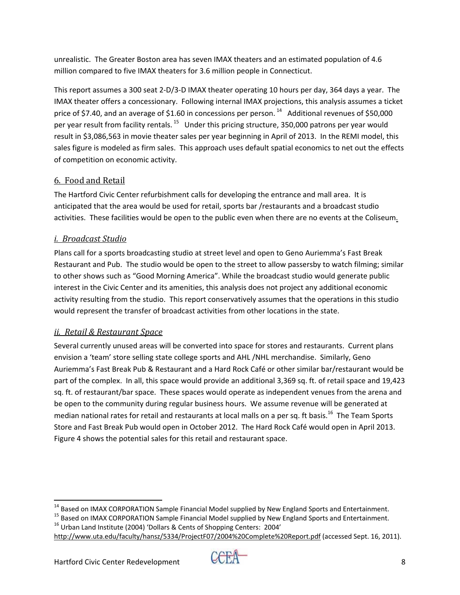unrealistic. The Greater Boston area has seven IMAX theaters and an estimated population of 4.6 million compared to five IMAX theaters for 3.6 million people in Connecticut.

This report assumes a 300 seat 2‐D/3‐D IMAX theater operating 10 hours per day, 364 days a year. The IMAX theater offers a concessionary. Following internal IMAX projections, this analysis assumes a ticket price of \$7.40, and an average of \$1.60 in concessions per person.<sup>14</sup> Additional revenues of \$50,000 per year result from facility rentals.<sup>15</sup> Under this pricing structure, 350,000 patrons per year would result in \$3,086,563 in movie theater sales per year beginning in April of 2013. In the REMI model, this sales figure is modeled as firm sales. This approach uses default spatial economics to net out the effects of competition on economic activity.

## 6. Food and Retail

The Hartford Civic Center refurbishment calls for developing the entrance and mall area. It is anticipated that the area would be used for retail, sports bar /restaurants and a broadcast studio activities. These facilities would be open to the public even when there are no events at the Coliseum.

# *i. Broadcast Studio*

Plans call for a sports broadcasting studio at street level and open to Geno Auriemma's Fast Break Restaurant and Pub. The studio would be open to the street to allow passersby to watch filming; similar to other shows such as "Good Morning America". While the broadcast studio would generate public interest in the Civic Center and its amenities, this analysis does not project any additional economic activity resulting from the studio. This report conservatively assumes that the operations in this studio would represent the transfer of broadcast activities from other locations in the state.

# *ii. Retail & Restaurant Space*

Several currently unused areas will be converted into space for stores and restaurants. Current plans envision a 'team' store selling state college sports and AHL /NHL merchandise. Similarly, Geno Auriemma's Fast Break Pub & Restaurant and a Hard Rock Café or other similar bar/restaurant would be part of the complex. In all, this space would provide an additional 3,369 sq. ft. of retail space and 19,423 sq. ft. of restaurant/bar space. These spaces would operate as independent venues from the arena and be open to the community during regular business hours. We assume revenue will be generated at median national rates for retail and restaurants at local malls on a per sq. ft basis.<sup>16</sup> The Team Sports Store and Fast Break Pub would open in October 2012. The Hard Rock Café would open in April 2013. Figure 4 shows the potential sales for this retail and restaurant space.

<sup>15</sup> Based on IMAX CORPORATION Sample Financial Model supplied by New England Sports and Entertainment.<br><sup>16</sup> Urban Land Institute (2004) 'Dollars & Cents of Shopping Centers: 2004'



<sup>&</sup>lt;sup>14</sup> Based on IMAX CORPORATION Sample Financial Model supplied by New England Sports and Entertainment.

http://www.uta.edu/faculty/hansz/5334/ProjectF07/2004%20Complete%20Report.pdf (accessed Sept. 16, 2011).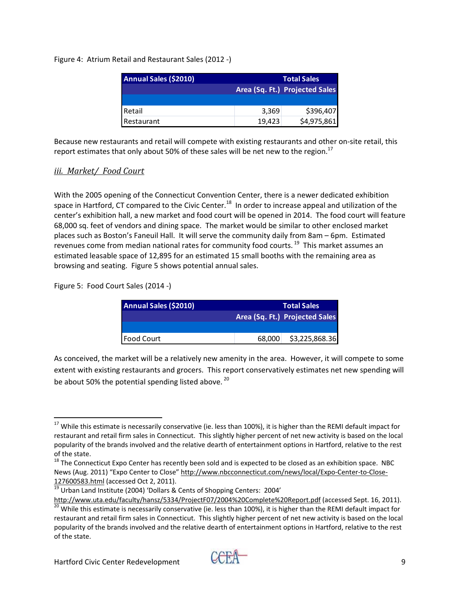Figure 4: Atrium Retail and Restaurant Sales (2012 ‐)

| Annual Sales (\$2010) |        | <b>Total Sales</b>             |
|-----------------------|--------|--------------------------------|
|                       |        | Area (Sq. Ft.) Projected Sales |
|                       |        |                                |
| Retail                | 3,369  | \$396,407                      |
| Restaurant            | 19.423 | \$4,975,861                    |

Because new restaurants and retail will compete with existing restaurants and other on‐site retail, this report estimates that only about 50% of these sales will be net new to the region.<sup>17</sup>

## *iii. Market/ Food Court*

With the 2005 opening of the Connecticut Convention Center, there is a newer dedicated exhibition space in Hartford, CT compared to the Civic Center.<sup>18</sup> In order to increase appeal and utilization of the center's exhibition hall, a new market and food court will be opened in 2014. The food court will feature 68,000 sq. feet of vendors and dining space. The market would be similar to other enclosed market places such as Boston's Faneuil Hall. It will serve the community daily from 8am – 6pm. Estimated revenues come from median national rates for community food courts.<sup>19</sup> This market assumes an estimated leasable space of 12,895 for an estimated 15 small booths with the remaining area as browsing and seating. Figure 5 shows potential annual sales.

Figure 5: Food Court Sales (2014 ‐)

| Annual Sales (\$2010) |        | <b>Total Sales</b>             |
|-----------------------|--------|--------------------------------|
|                       |        | Area (Sq. Ft.) Projected Sales |
|                       |        |                                |
| <b>I Food Court</b>   | 68,000 | \$3,225,868.36                 |

As conceived, the market will be a relatively new amenity in the area. However, it will compete to some extent with existing restaurants and grocers. This report conservatively estimates net new spending will be about 50% the potential spending listed above.<sup>20</sup>

 $^{17}$  While this estimate is necessarily conservative (ie. less than 100%), it is higher than the REMI default impact for restaurant and retail firm sales in Connecticut. This slightly higher percent of net new activity is based on the local popularity of the brands involved and the relative dearth of entertainment options in Hartford, relative to the rest of the state.<br><sup>18</sup> The Connecticut Expo Center has recently been sold and is expected to be closed as an exhibition space. NBC

News (Aug. 2011) "Expo Center to Close" http://www.nbcconnecticut.com/news/local/Expo‐Center‐to‐Close‐

Urban Land Institute (2004) 'Dollars & Cents of Shopping Centers: 2004' http://www.uta.edu/faculty/hansz/5334/ProjectF07/2004%20Complete%20Report.pdf (accessed Sept. 16, 2011).<br><sup>20</sup> While this estimate is necessarily conservative (ie. less than 100%), it is higher than the REMI default impact

restaurant and retail firm sales in Connecticut. This slightly higher percent of net new activity is based on the local popularity of the brands involved and the relative dearth of entertainment options in Hartford, relative to the rest of the state.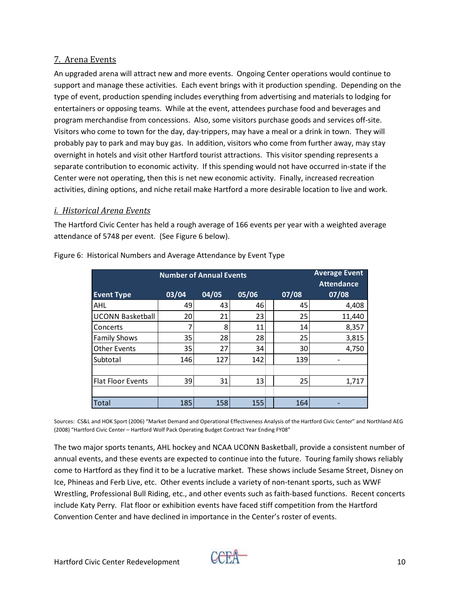#### 7. Arena Events

An upgraded arena will attract new and more events. Ongoing Center operations would continue to support and manage these activities. Each event brings with it production spending. Depending on the type of event, production spending includes everything from advertising and materials to lodging for entertainers or opposing teams. While at the event, attendees purchase food and beverages and program merchandise from concessions. Also, some visitors purchase goods and services off‐site. Visitors who come to town for the day, day‐trippers, may have a meal or a drink in town. They will probably pay to park and may buy gas. In addition, visitors who come from further away, may stay overnight in hotels and visit other Hartford tourist attractions. This visitor spending represents a separate contribution to economic activity. If this spending would not have occurred in-state if the Center were not operating, then this is net new economic activity. Finally, increased recreation activities, dining options, and niche retail make Hartford a more desirable location to live and work.

#### *i. Historical Arena Events*

The Hartford Civic Center has held a rough average of 166 events per year with a weighted average attendance of 5748 per event. (See Figure 6 below).

|                          |       | <b>Number of Annual Events</b> |       |       | <b>Average Event</b><br><b>Attendance</b> |
|--------------------------|-------|--------------------------------|-------|-------|-------------------------------------------|
| <b>Event Type</b>        | 03/04 | 04/05                          | 05/06 | 07/08 | 07/08                                     |
| AHL                      | 49    | 43                             | 46    | 45    | 4,408                                     |
| <b>UCONN Basketball</b>  | 20    | 21                             | 23    | 25    | 11,440                                    |
| Concerts                 |       | 8                              | 11    | 14    | 8,357                                     |
| <b>Family Shows</b>      | 35    | 28                             | 28    | 25    | 3,815                                     |
| <b>Other Events</b>      | 35    | 27                             | 34    | 30    | 4,750                                     |
| Subtotal                 | 146   | 127                            | 142   | 139   |                                           |
|                          |       |                                |       |       |                                           |
| <b>Flat Floor Events</b> | 39    | 31                             | 13    | 25    | 1,717                                     |
|                          |       |                                |       |       |                                           |
| Total                    | 185   | 158                            | 155   | 164   |                                           |

Figure 6: Historical Numbers and Average Attendance by Event Type

Sources: CS&L and HOK Sport (2006) "Market Demand and Operational Effectiveness Analysis of the Hartford Civic Center" and Northland AEG (2008) "Hartford Civic Center – Hartford Wolf Pack Operating Budget Contract Year Ending FY08"

The two major sports tenants, AHL hockey and NCAA UCONN Basketball, provide a consistent number of annual events, and these events are expected to continue into the future. Touring family shows reliably come to Hartford as they find it to be a lucrative market. These shows include Sesame Street, Disney on Ice, Phineas and Ferb Live, etc. Other events include a variety of non-tenant sports, such as WWF Wrestling, Professional Bull Riding, etc., and other events such as faith‐based functions. Recent concerts include Katy Perry. Flat floor or exhibition events have faced stiff competition from the Hartford Convention Center and have declined in importance in the Center's roster of events.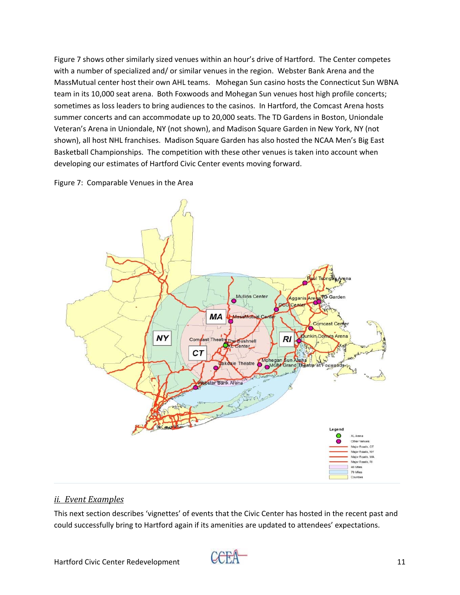Figure 7 shows other similarly sized venues within an hour's drive of Hartford. The Center competes with a number of specialized and/ or similar venues in the region. Webster Bank Arena and the MassMutual center host their own AHL teams. Mohegan Sun casino hosts the Connecticut Sun WBNA team in its 10,000 seat arena. Both Foxwoods and Mohegan Sun venues host high profile concerts; sometimes as loss leaders to bring audiences to the casinos. In Hartford, the Comcast Arena hosts summer concerts and can accommodate up to 20,000 seats. The TD Gardens in Boston, Uniondale Veteran's Arena in Uniondale, NY (not shown), and Madison Square Garden in New York, NY (not shown), all host NHL franchises. Madison Square Garden has also hosted the NCAA Men's Big East Basketball Championships. The competition with these other venues is taken into account when developing our estimates of Hartford Civic Center events moving forward.





#### *ii. Event Examples*

This next section describes 'vignettes' of events that the Civic Center has hosted in the recent past and could successfully bring to Hartford again if its amenities are updated to attendees' expectations.

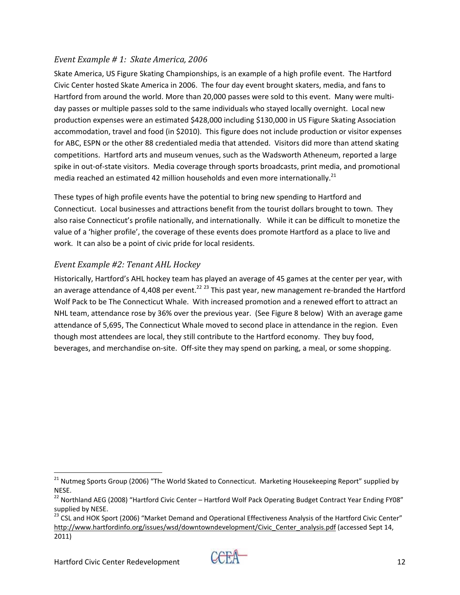#### *Event Example # 1: Skate America, 2006*

Skate America, US Figure Skating Championships, is an example of a high profile event. The Hartford Civic Center hosted Skate America in 2006. The four day event brought skaters, media, and fans to Hartford from around the world. More than 20,000 passes were sold to this event. Many were multiday passes or multiple passes sold to the same individuals who stayed locally overnight. Local new production expenses were an estimated \$428,000 including \$130,000 in US Figure Skating Association accommodation, travel and food (in \$2010). This figure does not include production or visitor expenses for ABC, ESPN or the other 88 credentialed media that attended. Visitors did more than attend skating competitions. Hartford arts and museum venues, such as the Wadsworth Atheneum, reported a large spike in out-of-state visitors. Media coverage through sports broadcasts, print media, and promotional media reached an estimated 42 million households and even more internationally.<sup>21</sup>

These types of high profile events have the potential to bring new spending to Hartford and Connecticut. Local businesses and attractions benefit from the tourist dollars brought to town. They also raise Connecticut's profile nationally, and internationally. While it can be difficult to monetize the value of a 'higher profile', the coverage of these events does promote Hartford as a place to live and work. It can also be a point of civic pride for local residents.

# *Event Example #2: Tenant AHL Hockey*

Historically, Hartford's AHL hockey team has played an average of 45 games at the center per year, with an average attendance of 4,408 per event.<sup>22 23</sup> This past year, new management re-branded the Hartford Wolf Pack to be The Connecticut Whale. With increased promotion and a renewed effort to attract an NHL team, attendance rose by 36% over the previous year. (See Figure 8 below) With an average game attendance of 5,695, The Connecticut Whale moved to second place in attendance in the region. Even though most attendees are local, they still contribute to the Hartford economy. They buy food, beverages, and merchandise on-site. Off-site they may spend on parking, a meal, or some shopping.



 <sup>21</sup> Nutmeg Sports Group (2006) "The World Skated to Connecticut. Marketing Housekeeping Report" supplied by NESE.

<sup>&</sup>lt;sup>22</sup> Northland AEG (2008) "Hartford Civic Center – Hartford Wolf Pack Operating Budget Contract Year Ending FY08"

supplied by NESE.<br><sup>23</sup> CSL and HOK Sport (2006) "Market Demand and Operational Effectiveness Analysis of the Hartford Civic Center" http://www.hartfordinfo.org/issues/wsd/downtowndevelopment/Civic Center analysis.pdf (accessed Sept 14, 2011)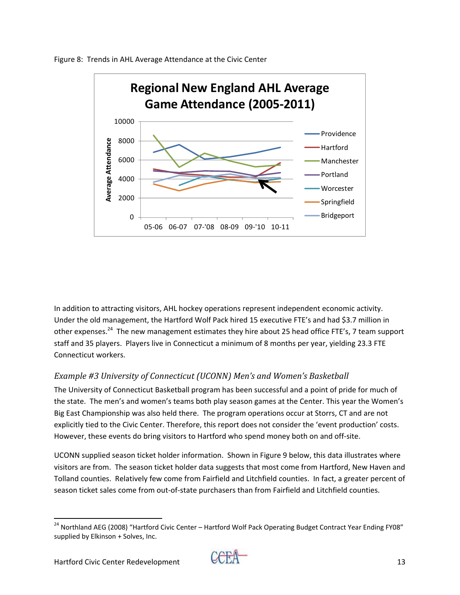

Figure 8: Trends in AHL Average Attendance at the Civic Center

In addition to attracting visitors, AHL hockey operations represent independent economic activity. Under the old management, the Hartford Wolf Pack hired 15 executive FTE's and had \$3.7 million in other expenses.<sup>24</sup> The new management estimates they hire about 25 head office FTE's, 7 team support staff and 35 players. Players live in Connecticut a minimum of 8 months per year, yielding 23.3 FTE Connecticut workers.

#### *Example #3 University of Connecticut (UCONN) Men's and Women's Basketball*

The University of Connecticut Basketball program has been successful and a point of pride for much of the state. The men's and women's teams both play season games at the Center. This year the Women's Big East Championship was also held there. The program operations occur at Storrs, CT and are not explicitly tied to the Civic Center. Therefore, this report does not consider the 'event production' costs. However, these events do bring visitors to Hartford who spend money both on and off‐site.

UCONN supplied season ticket holder information. Shown in Figure 9 below, this data illustrates where visitors are from. The season ticket holder data suggests that most come from Hartford, New Haven and Tolland counties. Relatively few come from Fairfield and Litchfield counties. In fact, a greater percent of season ticket sales come from out-of-state purchasers than from Fairfield and Litchfield counties.



 <sup>24</sup> Northland AEG (2008) "Hartford Civic Center – Hartford Wolf Pack Operating Budget Contract Year Ending FY08" supplied by Elkinson + Solves, Inc.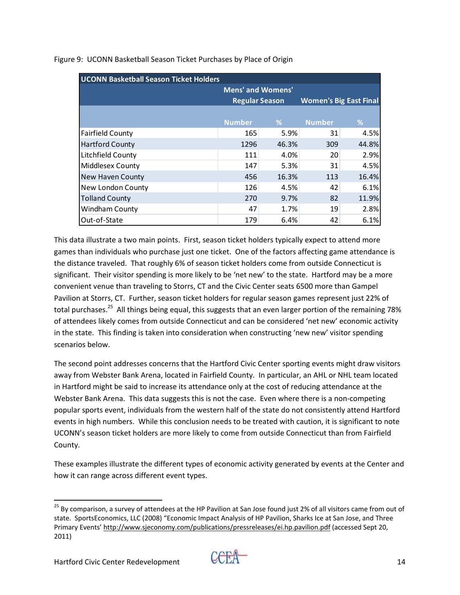| <b>UCONN Basketball Season Ticket Holders</b> |                          |       |                               |       |
|-----------------------------------------------|--------------------------|-------|-------------------------------|-------|
|                                               | <b>Mens' and Womens'</b> |       |                               |       |
|                                               | <b>Regular Season</b>    |       | <b>Women's Big East Final</b> |       |
|                                               |                          |       |                               |       |
|                                               | <b>Number</b>            | %     | <b>Number</b>                 | %     |
| <b>Fairfield County</b>                       | 165                      | 5.9%  | 31                            | 4.5%  |
| <b>Hartford County</b>                        | 1296                     | 46.3% | 309                           | 44.8% |
| Litchfield County                             | 111                      | 4.0%  | 20                            | 2.9%  |
| Middlesex County                              | 147                      | 5.3%  | 31                            | 4.5%  |
| <b>New Haven County</b>                       | 456                      | 16.3% | 113                           | 16.4% |
| New London County                             | 126                      | 4.5%  | 42                            | 6.1%  |
| <b>Tolland County</b>                         | 270                      | 9.7%  | 82                            | 11.9% |
| Windham County                                | 47                       | 1.7%  | 19                            | 2.8%  |
| Out-of-State                                  | 179                      | 6.4%  | 42                            | 6.1%  |

Figure 9: UCONN Basketball Season Ticket Purchases by Place of Origin

This data illustrate a two main points. First, season ticket holders typically expect to attend more games than individuals who purchase just one ticket. One of the factors affecting game attendance is the distance traveled. That roughly 6% of season ticket holders come from outside Connecticut is significant. Their visitor spending is more likely to be 'net new' to the state. Hartford may be a more convenient venue than traveling to Storrs, CT and the Civic Center seats 6500 more than Gampel Pavilion at Storrs, CT. Further, season ticket holders for regular season games represent just 22% of total purchases.<sup>25</sup> All things being equal, this suggests that an even larger portion of the remaining 78% of attendees likely comes from outside Connecticut and can be considered 'net new' economic activity in the state. This finding is taken into consideration when constructing 'new new' visitor spending scenarios below.

The second point addresses concerns that the Hartford Civic Center sporting events might draw visitors away from Webster Bank Arena, located in Fairfield County. In particular, an AHL or NHL team located in Hartford might be said to increase its attendance only at the cost of reducing attendance at the Webster Bank Arena. This data suggests this is not the case. Even where there is a non-competing popular sports event, individuals from the western half of the state do not consistently attend Hartford events in high numbers. While this conclusion needs to be treated with caution, it is significant to note UCONN's season ticket holders are more likely to come from outside Connecticut than from Fairfield County.

These examples illustrate the different types of economic activity generated by events at the Center and how it can range across different event types.



<sup>&</sup>lt;sup>25</sup> By comparison, a survey of attendees at the HP Pavilion at San Jose found just 2% of all visitors came from out of state. SportsEconomics, LLC (2008) "Economic Impact Analysis of HP Pavilion, Sharks Ice at San Jose, and Three Primary Events' http://www.sjeconomy.com/publications/pressreleases/ei.hp.pavilion.pdf (accessed Sept 20, 2011)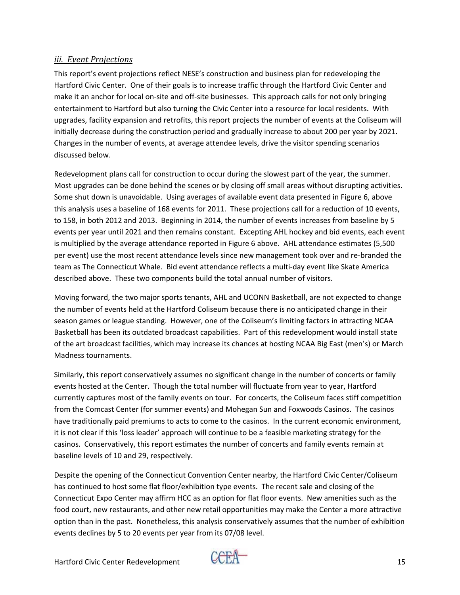#### *iii. Event Projections*

This report's event projections reflect NESE's construction and business plan for redeveloping the Hartford Civic Center. One of their goals is to increase traffic through the Hartford Civic Center and make it an anchor for local on-site and off-site businesses. This approach calls for not only bringing entertainment to Hartford but also turning the Civic Center into a resource for local residents. With upgrades, facility expansion and retrofits, this report projects the number of events at the Coliseum will initially decrease during the construction period and gradually increase to about 200 per year by 2021. Changes in the number of events, at average attendee levels, drive the visitor spending scenarios discussed below.

Redevelopment plans call for construction to occur during the slowest part of the year, the summer. Most upgrades can be done behind the scenes or by closing off small areas without disrupting activities. Some shut down is unavoidable. Using averages of available event data presented in Figure 6, above this analysis uses a baseline of 168 events for 2011. These projections call for a reduction of 10 events, to 158, in both 2012 and 2013. Beginning in 2014, the number of events increases from baseline by 5 events per year until 2021 and then remains constant. Excepting AHL hockey and bid events, each event is multiplied by the average attendance reported in Figure 6 above. AHL attendance estimates (5,500 per event) use the most recent attendance levels since new management took over and re-branded the team as The Connecticut Whale. Bid event attendance reflects a multi‐day event like Skate America described above. These two components build the total annual number of visitors.

Moving forward, the two major sports tenants, AHL and UCONN Basketball, are not expected to change the number of events held at the Hartford Coliseum because there is no anticipated change in their season games or league standing. However, one of the Coliseum's limiting factors in attracting NCAA Basketball has been its outdated broadcast capabilities. Part of this redevelopment would install state of the art broadcast facilities, which may increase its chances at hosting NCAA Big East (men's) or March Madness tournaments.

Similarly, this report conservatively assumes no significant change in the number of concerts or family events hosted at the Center. Though the total number will fluctuate from year to year, Hartford currently captures most of the family events on tour. For concerts, the Coliseum faces stiff competition from the Comcast Center (for summer events) and Mohegan Sun and Foxwoods Casinos. The casinos have traditionally paid premiums to acts to come to the casinos. In the current economic environment, it is not clear if this 'loss leader' approach will continue to be a feasible marketing strategy for the casinos. Conservatively, this report estimates the number of concerts and family events remain at baseline levels of 10 and 29, respectively.

Despite the opening of the Connecticut Convention Center nearby, the Hartford Civic Center/Coliseum has continued to host some flat floor/exhibition type events. The recent sale and closing of the Connecticut Expo Center may affirm HCC as an option for flat floor events. New amenities such as the food court, new restaurants, and other new retail opportunities may make the Center a more attractive option than in the past. Nonetheless, this analysis conservatively assumes that the number of exhibition events declines by 5 to 20 events per year from its 07/08 level.

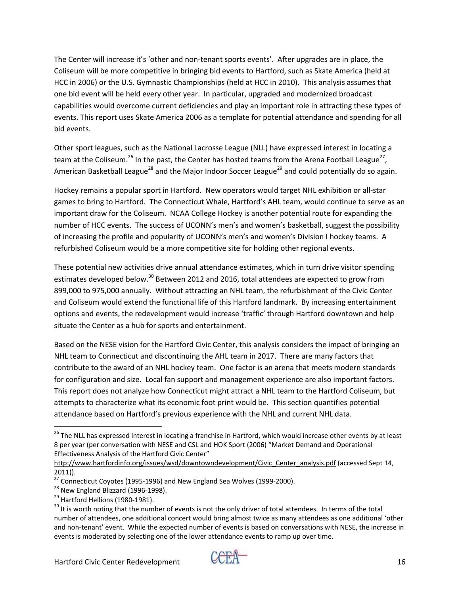The Center will increase it's 'other and non-tenant sports events'. After upgrades are in place, the Coliseum will be more competitive in bringing bid events to Hartford, such as Skate America (held at HCC in 2006) or the U.S. Gymnastic Championships (held at HCC in 2010). This analysis assumes that one bid event will be held every other year. In particular, upgraded and modernized broadcast capabilities would overcome current deficiencies and play an important role in attracting these types of events. This report uses Skate America 2006 as a template for potential attendance and spending for all bid events.

Other sport leagues, such as the National Lacrosse League (NLL) have expressed interest in locating a team at the Coliseum.<sup>26</sup> In the past, the Center has hosted teams from the Arena Football League<sup>27</sup>, American Basketball League<sup>28</sup> and the Major Indoor Soccer League<sup>29</sup> and could potentially do so again.

Hockey remains a popular sport in Hartford. New operators would target NHL exhibition or all‐star games to bring to Hartford. The Connecticut Whale, Hartford's AHL team, would continue to serve as an important draw for the Coliseum. NCAA College Hockey is another potential route for expanding the number of HCC events. The success of UCONN's men's and women's basketball, suggest the possibility of increasing the profile and popularity of UCONN's men's and women's Division I hockey teams. A refurbished Coliseum would be a more competitive site for holding other regional events.

These potential new activities drive annual attendance estimates, which in turn drive visitor spending estimates developed below.<sup>30</sup> Between 2012 and 2016, total attendees are expected to grow from 899,000 to 975,000 annually. Without attracting an NHL team, the refurbishment of the Civic Center and Coliseum would extend the functional life of this Hartford landmark. By increasing entertainment options and events, the redevelopment would increase 'traffic' through Hartford downtown and help situate the Center as a hub for sports and entertainment.

Based on the NESE vision for the Hartford Civic Center, this analysis considers the impact of bringing an NHL team to Connecticut and discontinuing the AHL team in 2017. There are many factors that contribute to the award of an NHL hockey team. One factor is an arena that meets modern standards for configuration and size. Local fan support and management experience are also important factors. This report does not analyze how Connecticut might attract a NHL team to the Hartford Coliseum, but attempts to characterize what its economic foot print would be. This section quantifies potential attendance based on Hartford's previous experience with the NHL and current NHL data.



 <sup>26</sup> The NLL has expressed interest in locating a franchise in Hartford, which would increase other events by at least 8 per year (per conversation with NESE and CSL and HOK Sport (2006) "Market Demand and Operational Effectiveness Analysis of the Hartford Civic Center"

http://www.hartfordinfo.org/issues/wsd/downtowndevelopment/Civic Center analysis.pdf (accessed Sept 14, 2011)).<br><sup>27</sup> Connecticut Coyotes (1995-1996) and New England Sea Wolves (1999-2000).

<sup>&</sup>lt;sup>28</sup> New England Blizzard (1996-1998).<br><sup>29</sup> Hartford Hellions (1980-1981).<br><sup>30</sup> It is worth noting that the number of events is not the only driver of total attendees. In terms of the total number of attendees, one additional concert would bring almost twice as many attendees as one additional 'other and non-tenant' event. While the expected number of events is based on conversations with NESE, the increase in events is moderated by selecting one of the lower attendance events to ramp up over time.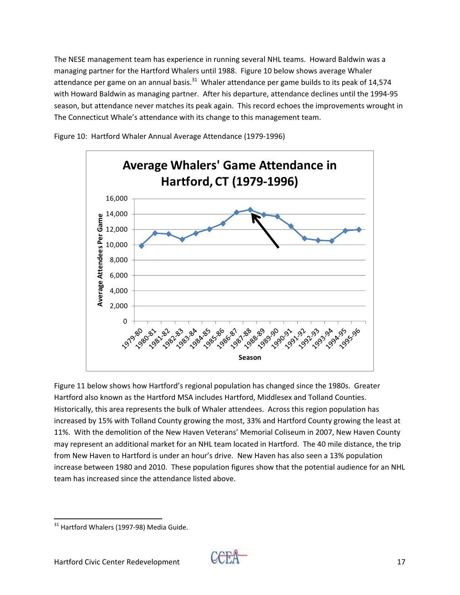The NESE management team has experience in running several NHL teams. Howard Baldwin was a managing partner for the Hartford Whalers until 1988. Figure 10 below shows average Whaler attendance per game on an annual basis. $31$  Whaler attendance per game builds to its peak of 14,574 with Howard Baldwin as managing partner. After his departure, attendance declines until the 1994‐95 season, but attendance never matches its peak again. This record echoes the improvements wrought in The Connecticut Whale's attendance with its change to this management team.





Figure 11 below shows how Hartford's regional population has changed since the 1980s. Greater Hartford also known as the Hartford MSA includes Hartford, Middlesex and Tolland Counties. Historically, this area represents the bulk of Whaler attendees. Across this region population has increased by 15% with Tolland County growing the most, 33% and Hartford County growing the least at 11%. With the demolition of the New Haven Veterans' Memorial Coliseum in 2007, New Haven County may represent an additional market for an NHL team located in Hartford. The 40 mile distance, the trip from New Haven to Hartford is under an hour's drive. New Haven has also seen a 13% population increase between 1980 and 2010. These population figures show that the potential audience for an NHL team has increased since the attendance listed above.



  $31$  Hartford Whalers (1997-98) Media Guide.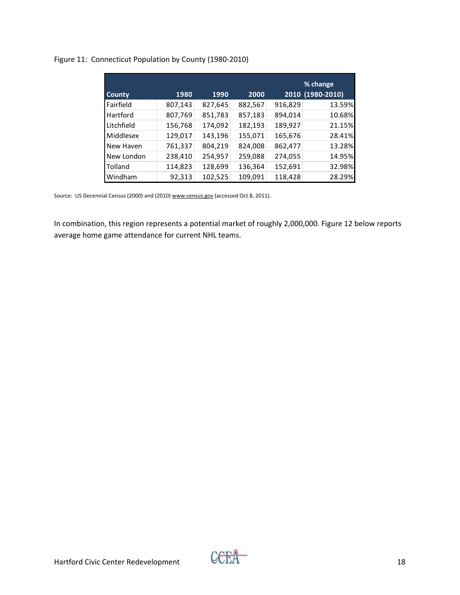## Figure 11: Connecticut Population by County (1980‐2010)

|               |         |         |         |         | % change         |
|---------------|---------|---------|---------|---------|------------------|
| <b>County</b> | 1980    | 1990    | 2000    |         | 2010 (1980-2010) |
| Fairfield     | 807,143 | 827,645 | 882,567 | 916,829 | 13.59%           |
| Hartford      | 807,769 | 851,783 | 857,183 | 894,014 | 10.68%           |
| Litchfield    | 156,768 | 174,092 | 182,193 | 189,927 | 21.15%           |
| Middlesex     | 129,017 | 143,196 | 155,071 | 165,676 | 28.41%           |
| New Haven     | 761,337 | 804,219 | 824,008 | 862,477 | 13.28%           |
| New London    | 238,410 | 254,957 | 259,088 | 274,055 | 14.95%           |
| Tolland       | 114,823 | 128,699 | 136,364 | 152,691 | 32.98%           |
| Windham       | 92,313  | 102,525 | 109,091 | 118,428 | 28.29%           |

Source: US Decennial Census (2000) and (2010) www.census.gov (accessed Oct 8, 2011).

In combination, this region represents a potential market of roughly 2,000,000. Figure 12 below reports average home game attendance for current NHL teams.

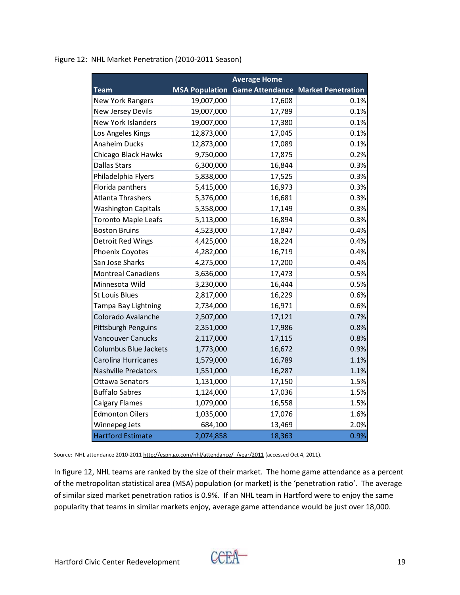|  | Figure 12: NHL Market Penetration (2010-2011 Season) |  |
|--|------------------------------------------------------|--|
|--|------------------------------------------------------|--|

|                              |                       | <b>Average Home</b> |                                           |
|------------------------------|-----------------------|---------------------|-------------------------------------------|
| <b>Team</b>                  | <b>MSA Population</b> |                     | <b>Game Attendance Market Penetration</b> |
| <b>New York Rangers</b>      | 19,007,000            | 17,608              | 0.1%                                      |
| New Jersey Devils            | 19,007,000            | 17,789              | 0.1%                                      |
| <b>New York Islanders</b>    | 19,007,000            | 17,380              | 0.1%                                      |
| Los Angeles Kings            | 12,873,000            | 17,045              | 0.1%                                      |
| <b>Anaheim Ducks</b>         | 12,873,000            | 17,089              | 0.1%                                      |
| Chicago Black Hawks          | 9,750,000             | 17,875              | 0.2%                                      |
| <b>Dallas Stars</b>          | 6,300,000             | 16,844              | 0.3%                                      |
| Philadelphia Flyers          | 5,838,000             | 17,525              | 0.3%                                      |
| Florida panthers             | 5,415,000             | 16,973              | 0.3%                                      |
| Atlanta Thrashers            | 5,376,000             | 16,681              | 0.3%                                      |
| <b>Washington Capitals</b>   | 5,358,000             | 17,149              | 0.3%                                      |
| <b>Toronto Maple Leafs</b>   | 5,113,000             | 16,894              | 0.3%                                      |
| <b>Boston Bruins</b>         | 4,523,000             | 17,847              | 0.4%                                      |
| Detroit Red Wings            | 4,425,000             | 18,224              | 0.4%                                      |
| Phoenix Coyotes              | 4,282,000             | 16,719              | 0.4%                                      |
| San Jose Sharks              | 4,275,000             | 17,200              | 0.4%                                      |
| <b>Montreal Canadiens</b>    | 3,636,000             | 17,473              | 0.5%                                      |
| Minnesota Wild               | 3,230,000             | 16,444              | 0.5%                                      |
| <b>St Louis Blues</b>        | 2,817,000             | 16,229              | 0.6%                                      |
| Tampa Bay Lightning          | 2,734,000             | 16,971              | 0.6%                                      |
| Colorado Avalanche           | 2,507,000             | 17,121              | 0.7%                                      |
| Pittsburgh Penguins          | 2,351,000             | 17,986              | 0.8%                                      |
| <b>Vancouver Canucks</b>     | 2,117,000             | 17,115              | 0.8%                                      |
| <b>Columbus Blue Jackets</b> | 1,773,000             | 16,672              | 0.9%                                      |
| Carolina Hurricanes          | 1,579,000             | 16,789              | 1.1%                                      |
| <b>Nashville Predators</b>   | 1,551,000             | 16,287              | 1.1%                                      |
| <b>Ottawa Senators</b>       | 1,131,000             | 17,150              | 1.5%                                      |
| <b>Buffalo Sabres</b>        | 1,124,000             | 17,036              | 1.5%                                      |
| <b>Calgary Flames</b>        | 1,079,000             | 16,558              | 1.5%                                      |
| <b>Edmonton Oilers</b>       | 1,035,000             | 17,076              | 1.6%                                      |
| Winnepeg Jets                | 684,100               | 13,469              | 2.0%                                      |
| <b>Hartford Estimate</b>     | 2,074,858             | 18,363              | 0.9%                                      |

Source: NHL attendance 2010-2011 http://espn.go.com/nhl/attendance/ /year/2011 (accessed Oct 4, 2011).

In figure 12, NHL teams are ranked by the size of their market. The home game attendance as a percent of the metropolitan statistical area (MSA) population (or market) is the 'penetration ratio'. The average of similar sized market penetration ratios is 0.9%. If an NHL team in Hartford were to enjoy the same popularity that teams in similar markets enjoy, average game attendance would be just over 18,000.

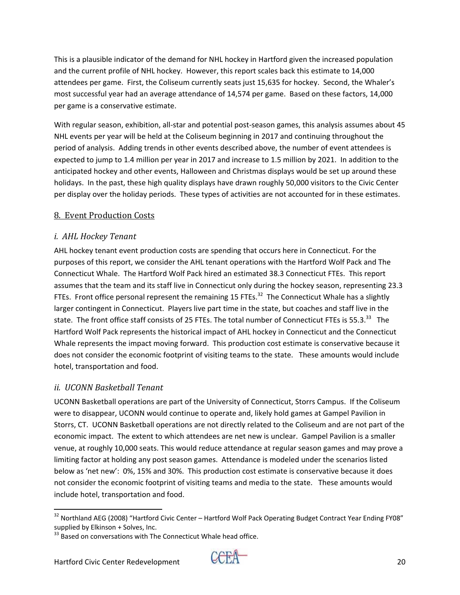This is a plausible indicator of the demand for NHL hockey in Hartford given the increased population and the current profile of NHL hockey. However, this report scales back this estimate to 14,000 attendees per game. First, the Coliseum currently seats just 15,635 for hockey. Second, the Whaler's most successful year had an average attendance of 14,574 per game. Based on these factors, 14,000 per game is a conservative estimate.

With regular season, exhibition, all-star and potential post-season games, this analysis assumes about 45 NHL events per year will be held at the Coliseum beginning in 2017 and continuing throughout the period of analysis. Adding trends in other events described above, the number of event attendees is expected to jump to 1.4 million per year in 2017 and increase to 1.5 million by 2021. In addition to the anticipated hockey and other events, Halloween and Christmas displays would be set up around these holidays. In the past, these high quality displays have drawn roughly 50,000 visitors to the Civic Center per display over the holiday periods. These types of activities are not accounted for in these estimates.

## 8. Event Production Costs

## *i. AHL Hockey Tenant*

AHL hockey tenant event production costs are spending that occurs here in Connecticut. For the purposes of this report, we consider the AHL tenant operations with the Hartford Wolf Pack and The Connecticut Whale. The Hartford Wolf Pack hired an estimated 38.3 Connecticut FTEs. This report assumes that the team and its staff live in Connecticut only during the hockey season, representing 23.3 FTEs. Front office personal represent the remaining 15 FTEs.<sup>32</sup> The Connecticut Whale has a slightly larger contingent in Connecticut. Players live part time in the state, but coaches and staff live in the state. The front office staff consists of 25 FTEs. The total number of Connecticut FTEs is 55.3.<sup>33</sup> The Hartford Wolf Pack represents the historical impact of AHL hockey in Connecticut and the Connecticut Whale represents the impact moving forward. This production cost estimate is conservative because it does not consider the economic footprint of visiting teams to the state. These amounts would include hotel, transportation and food.

# *ii. UCONN Basketball Tenant*

UCONN Basketball operations are part of the University of Connecticut, Storrs Campus. If the Coliseum were to disappear, UCONN would continue to operate and, likely hold games at Gampel Pavilion in Storrs, CT. UCONN Basketball operations are not directly related to the Coliseum and are not part of the economic impact. The extent to which attendees are net new is unclear. Gampel Pavilion is a smaller venue, at roughly 10,000 seats. This would reduce attendance at regular season games and may prove a limiting factor at holding any post season games. Attendance is modeled under the scenarios listed below as 'net new': 0%, 15% and 30%. This production cost estimate is conservative because it does not consider the economic footprint of visiting teams and media to the state. These amounts would include hotel, transportation and food.



  $32$  Northland AEG (2008) "Hartford Civic Center – Hartford Wolf Pack Operating Budget Contract Year Ending FY08" supplied by Elkinson + Solves, Inc.<br><sup>33</sup> Based on conversations with The Connecticut Whale head office.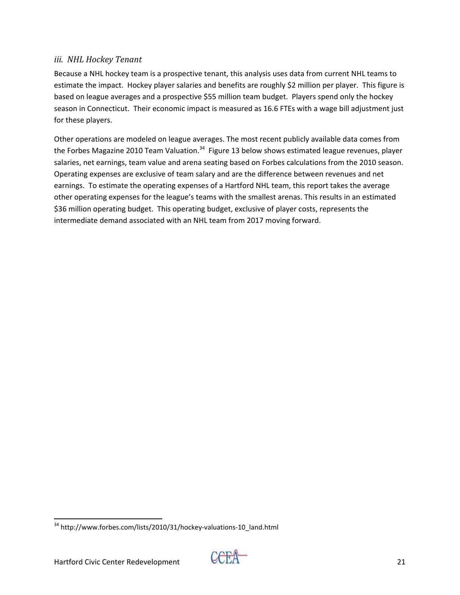#### *iii. NHL Hockey Tenant*

Because a NHL hockey team is a prospective tenant, this analysis uses data from current NHL teams to estimate the impact. Hockey player salaries and benefits are roughly \$2 million per player. This figure is based on league averages and a prospective \$55 million team budget. Players spend only the hockey season in Connecticut. Their economic impact is measured as 16.6 FTEs with a wage bill adjustment just for these players.

Other operations are modeled on league averages. The most recent publicly available data comes from the Forbes Magazine 2010 Team Valuation.<sup>34</sup> Figure 13 below shows estimated league revenues, player salaries, net earnings, team value and arena seating based on Forbes calculations from the 2010 season. Operating expenses are exclusive of team salary and are the difference between revenues and net earnings. To estimate the operating expenses of a Hartford NHL team, this report takes the average other operating expenses for the league's teams with the smallest arenas. This results in an estimated \$36 million operating budget. This operating budget, exclusive of player costs, represents the intermediate demand associated with an NHL team from 2017 moving forward.



 <sup>34</sup> http://www.forbes.com/lists/2010/31/hockey-valuations-10\_land.html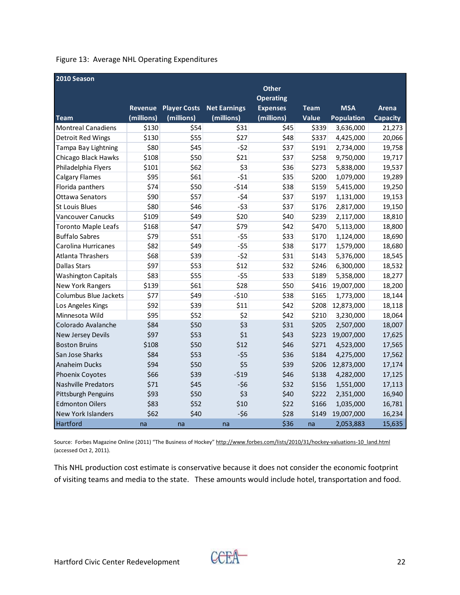|  | Figure 13: Average NHL Operating Expenditures |  |  |
|--|-----------------------------------------------|--|--|
|--|-----------------------------------------------|--|--|

| 2010 Season                |                |                     |                     |                  |             |                   |          |
|----------------------------|----------------|---------------------|---------------------|------------------|-------------|-------------------|----------|
|                            |                |                     |                     | <b>Other</b>     |             |                   |          |
|                            |                |                     |                     | <b>Operating</b> |             |                   |          |
|                            | <b>Revenue</b> | <b>Player Costs</b> | <b>Net Earnings</b> | <b>Expenses</b>  | <b>Team</b> | <b>MSA</b>        | Arena    |
| <b>Team</b>                | (millions)     | (millions)          | (millions)          | (millions)       | Value       | <b>Population</b> | Capacity |
| <b>Montreal Canadiens</b>  | \$130          | \$54                | \$31                | \$45             | \$339       | 3,636,000         | 21,273   |
| <b>Detroit Red Wings</b>   | \$130          | \$55                | \$27                | \$48             | \$337       | 4,425,000         | 20,066   |
| Tampa Bay Lightning        | \$80           | \$45                | $-52$               | \$37             | \$191       | 2,734,000         | 19,758   |
| Chicago Black Hawks        | \$108          | \$50                | \$21                | \$37             | \$258       | 9,750,000         | 19,717   |
| Philadelphia Flyers        | \$101          | \$62                | \$3                 | \$36             | \$273       | 5,838,000         | 19,537   |
| <b>Calgary Flames</b>      | \$95           | \$61                | $-51$               | \$35             | \$200       | 1,079,000         | 19,289   |
| Florida panthers           | \$74           | \$50                | $-514$              | \$38             | \$159       | 5,415,000         | 19,250   |
| <b>Ottawa Senators</b>     | \$90           | \$57                | $-54$               | \$37             | \$197       | 1,131,000         | 19,153   |
| <b>St Louis Blues</b>      | \$80           | \$46                | $-53$               | \$37             | \$176       | 2,817,000         | 19,150   |
| <b>Vancouver Canucks</b>   | \$109          | \$49                | \$20                | \$40             | \$239       | 2,117,000         | 18,810   |
| <b>Toronto Maple Leafs</b> | \$168          | \$47                | \$79                | \$42             | \$470       | 5,113,000         | 18,800   |
| <b>Buffalo Sabres</b>      | \$79           | \$51                | $-55$               | \$33             | \$170       | 1,124,000         | 18,690   |
| Carolina Hurricanes        | \$82           | \$49                | $-55$               | \$38             | \$177       | 1,579,000         | 18,680   |
| <b>Atlanta Thrashers</b>   | \$68           | \$39                | $-52$               | \$31             | \$143       | 5,376,000         | 18,545   |
| <b>Dallas Stars</b>        | \$97           | \$53                | \$12                | \$32             | \$246       | 6,300,000         | 18,532   |
| <b>Washington Capitals</b> | \$83           | \$55                | $-55$               | \$33             | \$189       | 5,358,000         | 18,277   |
| <b>New York Rangers</b>    | \$139          | \$61                | \$28                | \$50             | \$416       | 19,007,000        | 18,200   |
| Columbus Blue Jackets      | \$77           | \$49                | $-510$              | \$38             | \$165       | 1,773,000         | 18,144   |
| Los Angeles Kings          | \$92           | \$39                | \$11                | \$42             | \$208       | 12,873,000        | 18,118   |
| Minnesota Wild             | \$95           | \$52                | \$2                 | \$42             | \$210       | 3,230,000         | 18,064   |
| Colorado Avalanche         | \$84           | \$50                | \$3                 | \$31             | \$205       | 2,507,000         | 18,007   |
| <b>New Jersey Devils</b>   | \$97           | \$53                | \$1                 | \$43             | \$223       | 19,007,000        | 17,625   |
| <b>Boston Bruins</b>       | \$108          | \$50                | \$12                | \$46             | \$271       | 4,523,000         | 17,565   |
| San Jose Sharks            | \$84           | \$53                | $-55$               | \$36             | \$184       | 4,275,000         | 17,562   |
| Anaheim Ducks              | \$94           | \$50                | \$5                 | \$39             | \$206       | 12,873,000        | 17,174   |
| Phoenix Coyotes            | \$66           | \$39                | $-519$              | \$46             | \$138       | 4,282,000         | 17,125   |
| <b>Nashville Predators</b> | \$71           | \$45                | $-56$               | \$32             | \$156       | 1,551,000         | 17,113   |
| Pittsburgh Penguins        | \$93           | \$50                | \$3                 | \$40             | \$222       | 2,351,000         | 16,940   |
| <b>Edmonton Oilers</b>     | \$83           | \$52                | \$10                | \$22             | \$166       | 1,035,000         | 16,781   |
| New York Islanders         | \$62           | \$40                | $-56$               | \$28             | \$149       | 19,007,000        | 16,234   |
| Hartford                   | na             | na                  | na                  | \$36             | na          | 2,053,883         | 15,635   |

Source: Forbes Magazine Online (2011) "The Business of Hockey" http://www.forbes.com/lists/2010/31/hockey-valuations-10\_land.html (accessed Oct 2, 2011).

This NHL production cost estimate is conservative because it does not consider the economic footprint of visiting teams and media to the state. These amounts would include hotel, transportation and food.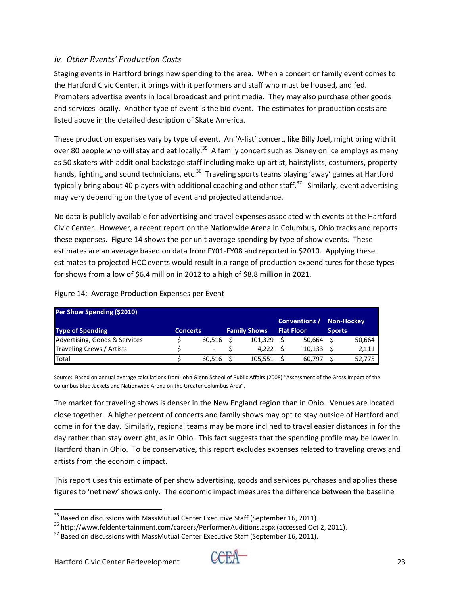#### *iv. Other Events' Production Costs*

Staging events in Hartford brings new spending to the area. When a concert or family event comes to the Hartford Civic Center, it brings with it performers and staff who must be housed, and fed. Promoters advertise events in local broadcast and print media. They may also purchase other goods and services locally. Another type of event is the bid event. The estimates for production costs are listed above in the detailed description of Skate America.

These production expenses vary by type of event. An 'A‐list' concert, like Billy Joel, might bring with it over 80 people who will stay and eat locally.<sup>35</sup> A family concert such as Disney on Ice employs as many as 50 skaters with additional backstage staff including make‐up artist, hairstylists, costumers, property hands, lighting and sound technicians, etc.<sup>36</sup> Traveling sports teams playing 'away' games at Hartford typically bring about 40 players with additional coaching and other staff.<sup>37</sup> Similarly, event advertising may very depending on the type of event and projected attendance.

No data is publicly available for advertising and travel expenses associated with events at the Hartford Civic Center. However, a recent report on the Nationwide Arena in Columbus, Ohio tracks and reports these expenses. Figure 14 shows the per unit average spending by type of show events. These estimates are an average based on data from FY01‐FY08 and reported in \$2010. Applying these estimates to projected HCC events would result in a range of production expenditures for these types for shows from a low of \$6.4 million in 2012 to a high of \$8.8 million in 2021.

| Per Show Spending (\$2010)    |                 |        |                     |                   |               |            |
|-------------------------------|-----------------|--------|---------------------|-------------------|---------------|------------|
|                               |                 |        |                     | Conventions /     |               | Non-Hockey |
| <b>Type of Spending</b>       | <b>Concerts</b> |        | <b>Family Shows</b> | <b>Flat Floor</b> | <b>Sports</b> |            |
| Advertising, Goods & Services |                 | 60.516 | 101.329             | 50.664            |               | 50,664     |
| Traveling Crews / Artists     |                 |        | 4.222               | 10.133            |               | 2,111      |
| Total                         |                 | 60,516 | 105,551             | 60.797            |               | 52.775     |

Figure 14: Average Production Expenses per Event

Source: Based on annual average calculations from John Glenn School of Public Affairs (2008) "Assessment of the Gross Impact of the Columbus Blue Jackets and Nationwide Arena on the Greater Columbus Area".

The market for traveling shows is denser in the New England region than in Ohio. Venues are located close together. A higher percent of concerts and family shows may opt to stay outside of Hartford and come in for the day. Similarly, regional teams may be more inclined to travel easier distances in for the day rather than stay overnight, as in Ohio. This fact suggests that the spending profile may be lower in Hartford than in Ohio. To be conservative, this report excludes expenses related to traveling crews and artists from the economic impact.

This report uses this estimate of per show advertising, goods and services purchases and applies these figures to 'net new' shows only. The economic impact measures the difference between the baseline



<sup>&</sup>lt;sup>35</sup> Based on discussions with MassMutual Center Executive Staff (September 16, 2011).

 $36$  http://www.feldentertainment.com/careers/PerformerAuditions.aspx (accessed Oct 2, 2011).<br> $37$  Based on discussions with MassMutual Center Executive Staff (September 16, 2011).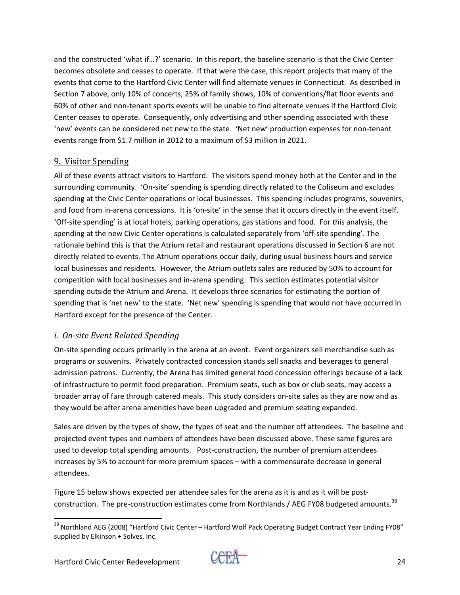and the constructed 'what if…?' scenario. In this report, the baseline scenario is that the Civic Center becomes obsolete and ceases to operate. If that were the case, this report projects that many of the events that come to the Hartford Civic Center will find alternate venues in Connecticut. As described in Section 7 above, only 10% of concerts, 25% of family shows, 10% of conventions/flat floor events and 60% of other and non‐tenant sports events will be unable to find alternate venues if the Hartford Civic Center ceases to operate. Consequently, only advertising and other spending associated with these 'new' events can be considered net new to the state. 'Net new' production expenses for non‐tenant events range from \$1.7 million in 2012 to a maximum of \$3 million in 2021.

#### 9. Visitor Spending

All of these events attract visitors to Hartford. The visitors spend money both at the Center and in the surrounding community. 'On‐site' spending is spending directly related to the Coliseum and excludes spending at the Civic Center operations or local businesses. This spending includes programs, souvenirs, and food from in-arena concessions. It is 'on-site' in the sense that it occurs directly in the event itself. 'Off‐site spending' is at local hotels, parking operations, gas stations and food. For this analysis, the spending at the new Civic Center operations is calculated separately from 'off‐site spending'. The rationale behind this is that the Atrium retail and restaurant operations discussed in Section 6 are not directly related to events. The Atrium operations occur daily, during usual business hours and service local businesses and residents. However, the Atrium outlets sales are reduced by 50% to account for competition with local businesses and in‐arena spending. This section estimates potential visitor spending outside the Atrium and Arena. It develops three scenarios for estimating the portion of spending that is 'net new' to the state. 'Net new' spending is spending that would not have occurred in Hartford except for the presence of the Center.

#### *i. Onsite Event Related Spending*

On-site spending occurs primarily in the arena at an event. Event organizers sell merchandise such as programs or souvenirs. Privately contracted concession stands sell snacks and beverages to general admission patrons. Currently, the Arena has limited general food concession offerings because of a lack of infrastructure to permit food preparation. Premium seats, such as box or club seats, may access a broader array of fare through catered meals. This study considers on‐site sales as they are now and as they would be after arena amenities have been upgraded and premium seating expanded.

Sales are driven by the types of show, the types of seat and the number off attendees. The baseline and projected event types and numbers of attendees have been discussed above. These same figures are used to develop total spending amounts. Post-construction, the number of premium attendees increases by 5% to account for more premium spaces – with a commensurate decrease in general attendees.

Figure 15 below shows expected per attendee sales for the arena as it is and as it will be postconstruction. The pre-construction estimates come from Northlands / AEG FY08 budgeted amounts.<sup>38</sup>



 <sup>38</sup> Northland AEG (2008) "Hartford Civic Center – Hartford Wolf Pack Operating Budget Contract Year Ending FY08" supplied by Elkinson + Solves, Inc.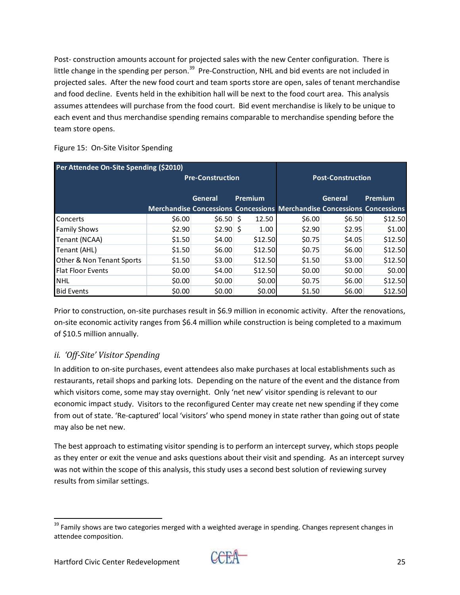Post-construction amounts account for projected sales with the new Center configuration. There is little change in the spending per person.<sup>39</sup> Pre-Construction, NHL and bid events are not included in projected sales. After the new food court and team sports store are open, sales of tenant merchandise and food decline. Events held in the exhibition hall will be next to the food court area. This analysis assumes attendees will purchase from the food court. Bid event merchandise is likely to be unique to each event and thus merchandise spending remains comparable to merchandise spending before the team store opens.

| Figure 15: On-Site Visitor Spending |  |  |
|-------------------------------------|--|--|
|                                     |  |  |

| Per Attendee On-Site Spending (\$2010) |                                                                                |                    |             |        |                          |         |
|----------------------------------------|--------------------------------------------------------------------------------|--------------------|-------------|--------|--------------------------|---------|
| <b>Pre-Construction</b>                |                                                                                |                    |             |        | <b>Post-Construction</b> |         |
|                                        |                                                                                | Premium<br>General |             |        | General                  | Premium |
|                                        | <b>Merchandise Concessions Concessions Merchandise Concessions Concessions</b> |                    |             |        |                          |         |
| Concerts                               | \$6.00                                                                         | \$6.50             | S.<br>12.50 | \$6.00 | \$6.50                   | \$12.50 |
| <b>Family Shows</b>                    | \$2.90                                                                         | $$2.90$ \$         | 1.00        | \$2.90 | \$2.95                   | \$1.00  |
| Tenant (NCAA)                          | \$1.50                                                                         | \$4.00             | \$12.50     | \$0.75 | \$4.05                   | \$12.50 |
| Tenant (AHL)                           | \$1.50                                                                         | \$6.00             | \$12.50     | \$0.75 | \$6.00                   | \$12.50 |
| Other & Non Tenant Sports              | \$1.50                                                                         | \$3.00             | \$12.50     | \$1.50 | \$3.00                   | \$12.50 |
| <b>Flat Floor Events</b>               | \$0.00                                                                         | \$4.00             | \$12.50     | \$0.00 | \$0.00                   | \$0.00  |
| <b>NHL</b>                             | \$0.00                                                                         | \$0.00             | \$0.00      | \$0.75 | \$6.00                   | \$12.50 |
| <b>Bid Events</b>                      | \$0.00                                                                         | \$0.00             | \$0.00      | \$1.50 | \$6.00                   | \$12.50 |

Prior to construction, on‐site purchases result in \$6.9 million in economic activity. After the renovations, on-site economic activity ranges from \$6.4 million while construction is being completed to a maximum of \$10.5 million annually.

# *ii. 'OffSite' Visitor Spending*

In addition to on‐site purchases, event attendees also make purchases at local establishments such as restaurants, retail shops and parking lots. Depending on the nature of the event and the distance from which visitors come, some may stay overnight. Only 'net new' visitor spending is relevant to our economic impact study. Visitors to the reconfigured Center may create net new spending if they come from out of state. 'Re-captured' local 'visitors' who spend money in state rather than going out of state may also be net new.

The best approach to estimating visitor spending is to perform an intercept survey, which stops people as they enter or exit the venue and asks questions about their visit and spending. As an intercept survey was not within the scope of this analysis, this study uses a second best solution of reviewing survey results from similar settings.



  $39$  Family shows are two categories merged with a weighted average in spending. Changes represent changes in attendee composition.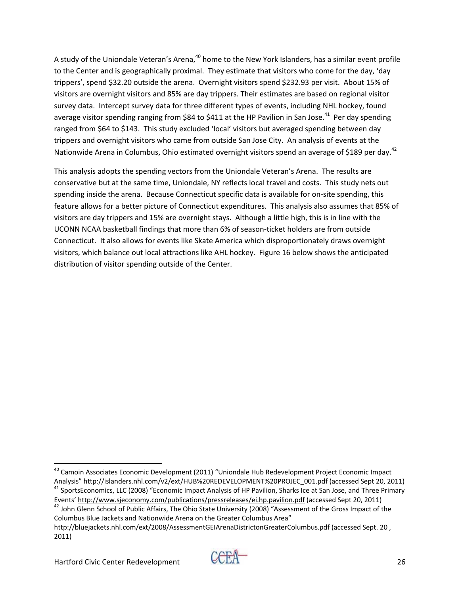A study of the Uniondale Veteran's Arena,<sup>40</sup> home to the New York Islanders, has a similar event profile to the Center and is geographically proximal. They estimate that visitors who come for the day, 'day trippers', spend \$32.20 outside the arena. Overnight visitors spend \$232.93 per visit. About 15% of visitors are overnight visitors and 85% are day trippers. Their estimates are based on regional visitor survey data. Intercept survey data for three different types of events, including NHL hockey, found average visitor spending ranging from \$84 to \$411 at the HP Pavilion in San Jose.<sup>41</sup> Per day spending ranged from \$64 to \$143. This study excluded 'local' visitors but averaged spending between day trippers and overnight visitors who came from outside San Jose City. An analysis of events at the Nationwide Arena in Columbus, Ohio estimated overnight visitors spend an average of \$189 per day.<sup>42</sup>

This analysis adopts the spending vectors from the Uniondale Veteran's Arena. The results are conservative but at the same time, Uniondale, NY reflects local travel and costs. This study nets out spending inside the arena. Because Connecticut specific data is available for on-site spending, this feature allows for a better picture of Connecticut expenditures. This analysis also assumes that 85% of visitors are day trippers and 15% are overnight stays. Although a little high, this is in line with the UCONN NCAA basketball findings that more than 6% of season‐ticket holders are from outside Connecticut. It also allows for events like Skate America which disproportionately draws overnight visitors, which balance out local attractions like AHL hockey. Figure 16 below shows the anticipated distribution of visitor spending outside of the Center.

 <sup>40</sup> Camoin Associates Economic Development (2011) "Uniondale Hub Redevelopment Project Economic Impact Analysis" http://islanders.nhl.com/v2/ext/HUB%20REDEVELOPMENT%20PROJEC\_001.pdf (accessed Sept 20, 2011) 41 SportsEconomics, LLC (2008) "Economic Impact Analysis of HP Pavilion, Sharks Ice at San Jose, and Three Primary

Events' http://www.sjeconomy.com/publications/pressreleases/ei.hp.pavilion.pdf (accessed Sept 20, 2011) 42 John Glenn School of Public Affairs, The Ohio State University (2008) "Assessment of the Gross Impact of the

Columbus Blue Jackets and Nationwide Arena on the Greater Columbus Area"

http://bluejackets.nhl.com/ext/2008/AssessmentGEIArenaDistrictonGreaterColumbus.pdf (accessed Sept. 20 , 2011)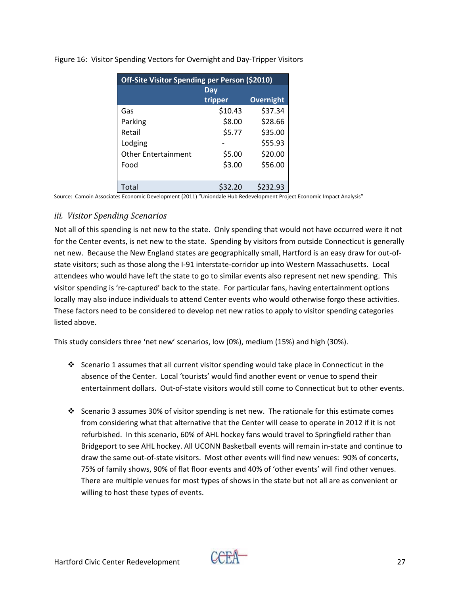| Off-Site Visitor Spending per Person (\$2010) |         |           |  |  |  |  |
|-----------------------------------------------|---------|-----------|--|--|--|--|
| Dav                                           |         |           |  |  |  |  |
|                                               | tripper | Overnight |  |  |  |  |
| Gas                                           | \$10.43 | \$37.34   |  |  |  |  |
| Parking                                       | \$8.00  | \$28.66   |  |  |  |  |
| Retail                                        | \$5.77  | \$35.00   |  |  |  |  |
| Lodging                                       |         | \$55.93   |  |  |  |  |
| <b>Other Entertainment</b>                    | \$5.00  | \$20.00   |  |  |  |  |
| Food                                          | \$3.00  | \$56.00   |  |  |  |  |
|                                               |         |           |  |  |  |  |
| Total                                         | \$32.20 | \$232.93  |  |  |  |  |

Figure 16: Visitor Spending Vectors for Overnight and Day‐Tripper Visitors

Source: Camoin Associates Economic Development (2011) "Uniondale Hub Redevelopment Project Economic Impact Analysis"

#### *iii. Visitor Spending Scenarios*

Not all of this spending is net new to the state. Only spending that would not have occurred were it not for the Center events, is net new to the state. Spending by visitors from outside Connecticut is generally net new. Because the New England states are geographically small, Hartford is an easy draw for out‐of‐ state visitors; such as those along the I‐91 interstate‐corridor up into Western Massachusetts. Local attendees who would have left the state to go to similar events also represent net new spending. This visitor spending is 're-captured' back to the state. For particular fans, having entertainment options locally may also induce individuals to attend Center events who would otherwise forgo these activities. These factors need to be considered to develop net new ratios to apply to visitor spending categories listed above.

This study considers three 'net new' scenarios, low (0%), medium (15%) and high (30%).

- Scenario 1 assumes that all current visitor spending would take place in Connecticut in the absence of the Center. Local 'tourists' would find another event or venue to spend their entertainment dollars. Out-of-state visitors would still come to Connecticut but to other events.
- Scenario 3 assumes 30% of visitor spending is net new. The rationale for this estimate comes from considering what that alternative that the Center will cease to operate in 2012 if it is not refurbished. In this scenario, 60% of AHL hockey fans would travel to Springfield rather than Bridgeport to see AHL hockey. All UCONN Basketball events will remain in‐state and continue to draw the same out-of-state visitors. Most other events will find new venues: 90% of concerts, 75% of family shows, 90% of flat floor events and 40% of 'other events' will find other venues. There are multiple venues for most types of shows in the state but not all are as convenient or willing to host these types of events.

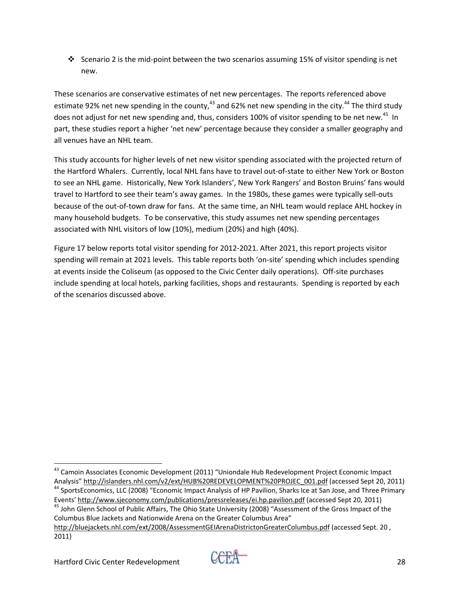Scenario 2 is the mid‐point between the two scenarios assuming 15% of visitor spending is net new.

These scenarios are conservative estimates of net new percentages. The reports referenced above estimate 92% net new spending in the county,  $43$  and 62% net new spending in the city.  $44$  The third study does not adjust for net new spending and, thus, considers 100% of visitor spending to be net new.<sup>45</sup> In part, these studies report a higher 'net new' percentage because they consider a smaller geography and all venues have an NHL team.

This study accounts for higher levels of net new visitor spending associated with the projected return of the Hartford Whalers. Currently, local NHL fans have to travel out‐of‐state to either New York or Boston to see an NHL game. Historically, New York Islanders', New York Rangers' and Boston Bruins' fans would travel to Hartford to see their team's away games. In the 1980s, these games were typically sell‐outs because of the out-of-town draw for fans. At the same time, an NHL team would replace AHL hockey in many household budgets. To be conservative, this study assumes net new spending percentages associated with NHL visitors of low (10%), medium (20%) and high (40%).

Figure 17 below reports total visitor spending for 2012‐2021. After 2021, this report projects visitor spending will remain at 2021 levels. This table reports both 'on-site' spending which includes spending at events inside the Coliseum (as opposed to the Civic Center daily operations). Off‐site purchases include spending at local hotels, parking facilities, shops and restaurants. Spending is reported by each of the scenarios discussed above.

 <sup>43</sup> Camoin Associates Economic Development (2011) "Uniondale Hub Redevelopment Project Economic Impact Analysis" http://islanders.nhl.com/v2/ext/HUB%20REDEVELOPMENT%20PROJEC\_001.pdf (accessed Sept 20, 2011) 44 SportsEconomics, LLC (2008) "Economic Impact Analysis of HP Pavilion, Sharks Ice at San Jose, and Three Primary

Events' http://www.sjeconomy.com/publications/pressreleases/ei.hp.pavilion.pdf (accessed Sept 20, 2011) 45 John Glenn School of Public Affairs, The Ohio State University (2008) "Assessment of the Gross Impact of the

Columbus Blue Jackets and Nationwide Arena on the Greater Columbus Area"

http://bluejackets.nhl.com/ext/2008/AssessmentGEIArenaDistrictonGreaterColumbus.pdf (accessed Sept. 20 , 2011)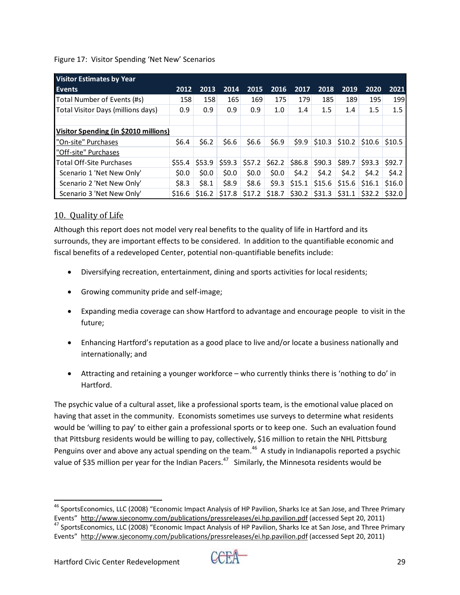#### Figure 17: Visitor Spending 'Net New' Scenarios

| <b>Visitor Estimates by Year</b>      |         |         |         |         |          |          |          |          |          |         |
|---------------------------------------|---------|---------|---------|---------|----------|----------|----------|----------|----------|---------|
| <b>Events</b>                         | 2012    | 2013    | 2014    | 2015    | 2016     | 2017     | 2018     | 2019     | 2020     | 2021    |
| Total Number of Events (#s)           | 158     | 158     | 165     | 169     | 175      | 179      | 185      | 189      | 195      | 199     |
| Total Visitor Days (millions days)    | 0.9     | 0.9     | 0.9     | 0.9     | 1.0      | 1.4      | 1.5      | 1.4      | $1.5\,$  | $1.5\,$ |
|                                       |         |         |         |         |          |          |          |          |          |         |
| Visitor Spending (in \$2010 millions) |         |         |         |         |          |          |          |          |          |         |
| "On-site" Purchases                   | \$6.4\$ | \$6.2\$ | \$6.6\$ | \$6.6   | \$6.9    | 59.9     | \$10.3\$ | \$10.2\$ | \$10.6   | \$10.5  |
| "Off-site" Purchases                  |         |         |         |         |          |          |          |          |          |         |
| <b>Total Off-Site Purchases</b>       | \$555.4 | \$53.9  | \$59.3  | \$57.2  | \$62.2\$ | \$86.8   | \$90.3   | \$89.7   | \$93.3   | \$92.7  |
| Scenario 1 'Net New Only'             | \$0.0\$ | \$0.0\$ | \$0.0\$ | \$0.0\$ | \$0.0\$  | \$4.2\$  | \$4.2\$  | 54.2     | \$4.2    | 54.2    |
| Scenario 2 'Net New Only'             | \$8.3   | \$8.1   | \$8.9   | \$8.6   | \$9.3    | \$15.1   | \$15.6   | \$15.6   | \$16.1   | \$16.0  |
| Scenario 3 'Net New Only'             | \$16.6  | \$16.2  | \$17.8  | \$17.2  | \$18.7   | \$30.2\$ | \$31.3   | \$31.1   | \$32.2\$ | \$32.0  |

## 10. Ouality of Life

Although this report does not model very real benefits to the quality of life in Hartford and its surrounds, they are important effects to be considered. In addition to the quantifiable economic and fiscal benefits of a redeveloped Center, potential non‐quantifiable benefits include:

- Diversifying recreation, entertainment, dining and sports activities for local residents;
- Growing community pride and self‐image;
- Expanding media coverage can show Hartford to advantage and encourage people to visit in the future;
- Enhancing Hartford's reputation as a good place to live and/or locate a business nationally and internationally; and
- Attracting and retaining a younger workforce who currently thinks there is 'nothing to do' in Hartford.

The psychic value of a cultural asset, like a professional sports team, is the emotional value placed on having that asset in the community. Economists sometimes use surveys to determine what residents would be 'willing to pay' to either gain a professional sports or to keep one. Such an evaluation found that Pittsburg residents would be willing to pay, collectively, \$16 million to retain the NHL Pittsburg Penguins over and above any actual spending on the team.<sup>46</sup> A study in Indianapolis reported a psychic value of \$35 million per year for the Indian Pacers.<sup>47</sup> Similarly, the Minnesota residents would be



<sup>&</sup>lt;sup>46</sup> SportsEconomics, LLC (2008) "Economic Impact Analysis of HP Pavilion, Sharks Ice at San Jose, and Three Primary Events" http://www.sjeconomy.com/publications/pressreleases/ei.hp.pavilion.pdf (accessed Sept 20, 2011) 47 SportsEconomics, LLC (2008) "Economic Impact Analysis of HP Pavilion, Sharks Ice at San Jose, and Three Primary Events" http://www.sjeconomy.com/publications/pressreleases/ei.hp.pavilion.pdf (accessed Sept 20, 2011)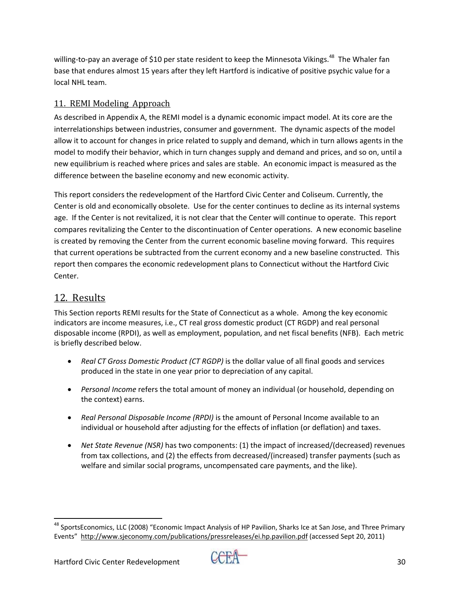willing-to-pay an average of \$10 per state resident to keep the Minnesota Vikings.<sup>48</sup> The Whaler fan base that endures almost 15 years after they left Hartford is indicative of positive psychic value for a local NHL team.

## 11. REMI Modeling Approach

As described in Appendix A, the REMI model is a dynamic economic impact model. At its core are the interrelationships between industries, consumer and government. The dynamic aspects of the model allow it to account for changes in price related to supply and demand, which in turn allows agents in the model to modify their behavior, which in turn changes supply and demand and prices, and so on, until a new equilibrium is reached where prices and sales are stable. An economic impact is measured as the difference between the baseline economy and new economic activity.

This report considers the redevelopment of the Hartford Civic Center and Coliseum. Currently, the Center is old and economically obsolete. Use for the center continues to decline as its internal systems age. If the Center is not revitalized, it is not clear that the Center will continue to operate. This report compares revitalizing the Center to the discontinuation of Center operations. A new economic baseline is created by removing the Center from the current economic baseline moving forward. This requires that current operations be subtracted from the current economy and a new baseline constructed. This report then compares the economic redevelopment plans to Connecticut without the Hartford Civic Center.

# 12. Results

This Section reports REMI results for the State of Connecticut as a whole. Among the key economic indicators are income measures, i.e., CT real gross domestic product (CT RGDP) and real personal disposable income (RPDI), as well as employment, population, and net fiscal benefits (NFB). Each metric is briefly described below.

- *Real CT Gross Domestic Product (CT RGDP)* is the dollar value of all final goods and services produced in the state in one year prior to depreciation of any capital.
- *Personal Income* refers the total amount of money an individual (or household, depending on the context) earns.
- *Real Personal Disposable Income (RPDI)* is the amount of Personal Income available to an individual or household after adjusting for the effects of inflation (or deflation) and taxes.
- *Net State Revenue (NSR)* has two components: (1) the impact of increased/(decreased) revenues from tax collections, and (2) the effects from decreased/(increased) transfer payments (such as welfare and similar social programs, uncompensated care payments, and the like).

<sup>&</sup>lt;sup>48</sup> SportsEconomics, LLC (2008) "Economic Impact Analysis of HP Pavilion, Sharks Ice at San Jose, and Three Primary Events" http://www.sjeconomy.com/publications/pressreleases/ei.hp.pavilion.pdf (accessed Sept 20, 2011)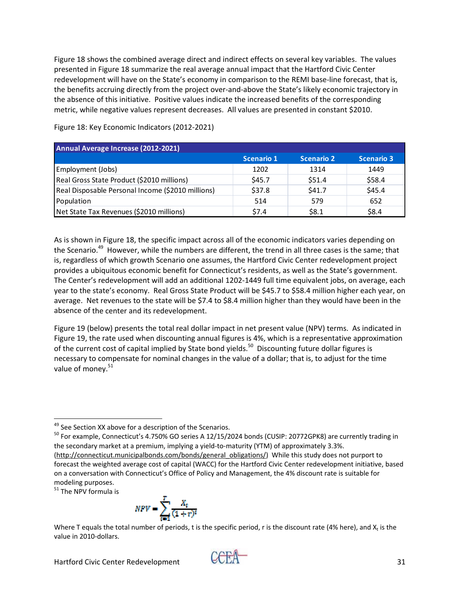Figure 18 shows the combined average direct and indirect effects on several key variables. The values presented in Figure 18 summarize the real average annual impact that the Hartford Civic Center redevelopment will have on the State's economy in comparison to the REMI base-line forecast, that is, the benefits accruing directly from the project over-and-above the State's likely economic trajectory in the absence of this initiative. Positive values indicate the increased benefits of the corresponding metric, while negative values represent decreases. All values are presented in constant \$2010.

| Annual Average Increase (2012-2021)               |                   |                   |                   |  |  |  |  |
|---------------------------------------------------|-------------------|-------------------|-------------------|--|--|--|--|
|                                                   | <b>Scenario 1</b> | <b>Scenario 2</b> | <b>Scenario 3</b> |  |  |  |  |
| Employment (Jobs)                                 | 1202              | 1314              | 1449              |  |  |  |  |
| Real Gross State Product (\$2010 millions)        | \$45.7            | \$51.4            | \$58.4            |  |  |  |  |
| Real Disposable Personal Income (\$2010 millions) | \$37.8            | \$41.7            | \$45.4            |  |  |  |  |
| Population                                        | 514               | 579               | 652               |  |  |  |  |
| Net State Tax Revenues (\$2010 millions)          | S7.4              | \$8.1             | \$8.4             |  |  |  |  |

Figure 18: Key Economic Indicators (2012‐2021)

As is shown in Figure 18, the specific impact across all of the economic indicators varies depending on the Scenario.<sup>49</sup> However, while the numbers are different, the trend in all three cases is the same; that is, regardless of which growth Scenario one assumes, the Hartford Civic Center redevelopment project provides a ubiquitous economic benefit for Connecticut's residents, as well as the State's government. The Center's redevelopment will add an additional 1202‐1449 full time equivalent jobs, on average, each year to the state's economy. Real Gross State Product will be \$45.7 to \$58.4 million higher each year, on average. Net revenues to the state will be \$7.4 to \$8.4 million higher than they would have been in the absence of the center and its redevelopment.

Figure 19 (below) presents the total real dollar impact in net present value (NPV) terms. As indicated in Figure 19, the rate used when discounting annual figures is 4%, which is a representative approximation of the current cost of capital implied by State bond yields.<sup>50</sup> Discounting future dollar figures is necessary to compensate for nominal changes in the value of a dollar; that is, to adjust for the time value of money.<sup>51</sup>

modeling purposes.<br><sup>51</sup> The NPV formula is



Where T equals the total number of periods, t is the specific period, r is the discount rate (4% here), and  $X_t$  is the value in 2010‐dollars.



<sup>&</sup>lt;sup>49</sup> See Section XX above for a description of the Scenarios.

<sup>&</sup>lt;sup>50</sup> For example, Connecticut's 4.750% GO series A 12/15/2024 bonds (CUSIP: 20772GPK8) are currently trading in the secondary market at a premium, implying a yield-to-maturity (YTM) of approximately 3.3%. (http://connecticut.municipalbonds.com/bonds/general\_obligations/) While this study does not purport to forecast the weighted average cost of capital (WACC) for the Hartford Civic Center redevelopment initiative, based on a conversation with Connecticut's Office of Policy and Management, the 4% discount rate is suitable for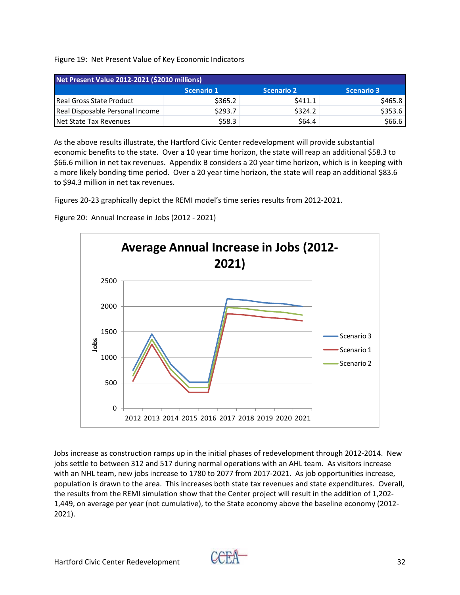Figure 19: Net Present Value of Key Economic Indicators

| Net Present Value 2012-2021 (\$2010 millions) |                   |                   |            |  |  |  |  |  |
|-----------------------------------------------|-------------------|-------------------|------------|--|--|--|--|--|
|                                               | <b>Scenario 1</b> | <b>Scenario 2</b> | Scenario 3 |  |  |  |  |  |
| Real Gross State Product                      | \$365.2           | \$411.1           | \$465.8    |  |  |  |  |  |
| Real Disposable Personal Income               | \$293.7           | \$324.2           | \$353.6    |  |  |  |  |  |
| Net State Tax Revenues                        | \$58.3            | \$64.4            | \$66.6     |  |  |  |  |  |

As the above results illustrate, the Hartford Civic Center redevelopment will provide substantial economic benefits to the state. Over a 10 year time horizon, the state will reap an additional \$58.3 to \$66.6 million in net tax revenues. Appendix B considers a 20 year time horizon, which is in keeping with a more likely bonding time period. Over a 20 year time horizon, the state will reap an additional \$83.6 to \$94.3 million in net tax revenues.

Figures 20‐23 graphically depict the REMI model's time series results from 2012‐2021.

Figure 20: Annual Increase in Jobs (2012 ‐ 2021)



Jobs increase as construction ramps up in the initial phases of redevelopment through 2012‐2014. New jobs settle to between 312 and 517 during normal operations with an AHL team. As visitors increase with an NHL team, new jobs increase to 1780 to 2077 from 2017-2021. As job opportunities increase, population is drawn to the area. This increases both state tax revenues and state expenditures. Overall, the results from the REMI simulation show that the Center project will result in the addition of 1,202‐ 1,449, on average per year (not cumulative), to the State economy above the baseline economy (2012‐ 2021).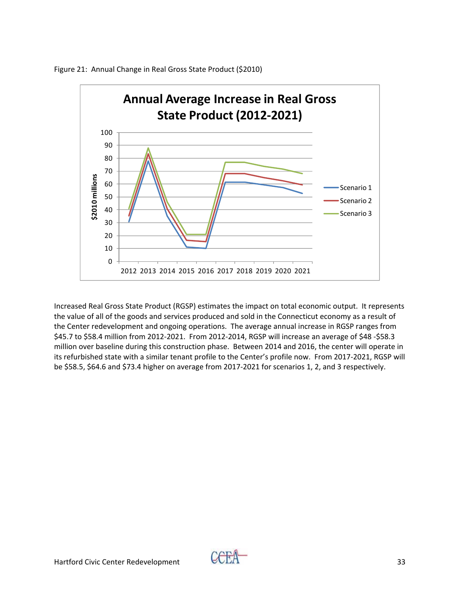

Figure 21: Annual Change in Real Gross State Product (\$2010)

Increased Real Gross State Product (RGSP) estimates the impact on total economic output. It represents the value of all of the goods and services produced and sold in the Connecticut economy as a result of the Center redevelopment and ongoing operations. The average annual increase in RGSP ranges from \$45.7 to \$58.4 million from 2012‐2021. From 2012‐2014, RGSP will increase an average of \$48 ‐\$58.3 million over baseline during this construction phase. Between 2014 and 2016, the center will operate in its refurbished state with a similar tenant profile to the Center's profile now. From 2017‐2021, RGSP will be \$58.5, \$64.6 and \$73.4 higher on average from 2017‐2021 for scenarios 1, 2, and 3 respectively.

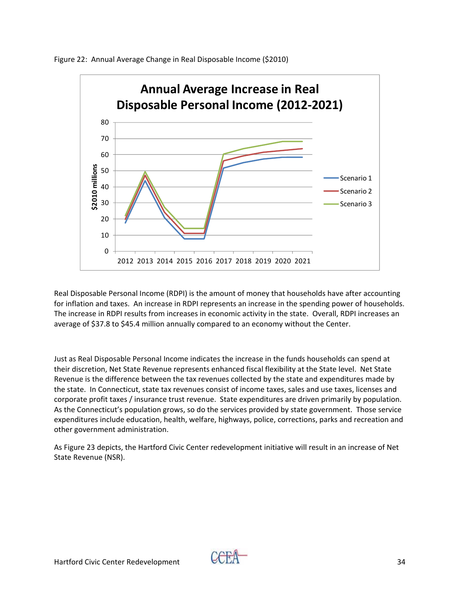

Figure 22: Annual Average Change in Real Disposable Income (\$2010)

Real Disposable Personal Income (RDPI) is the amount of money that households have after accounting for inflation and taxes. An increase in RDPI represents an increase in the spending power of households. The increase in RDPI results from increases in economic activity in the state. Overall, RDPI increases an average of \$37.8 to \$45.4 million annually compared to an economy without the Center.

Just as Real Disposable Personal Income indicates the increase in the funds households can spend at their discretion, Net State Revenue represents enhanced fiscal flexibility at the State level. Net State Revenue is the difference between the tax revenues collected by the state and expenditures made by the state. In Connecticut, state tax revenues consist of income taxes, sales and use taxes, licenses and corporate profit taxes / insurance trust revenue. State expenditures are driven primarily by population. As the Connecticut's population grows, so do the services provided by state government. Those service expenditures include education, health, welfare, highways, police, corrections, parks and recreation and other government administration.

As Figure 23 depicts, the Hartford Civic Center redevelopment initiative will result in an increase of Net State Revenue (NSR).

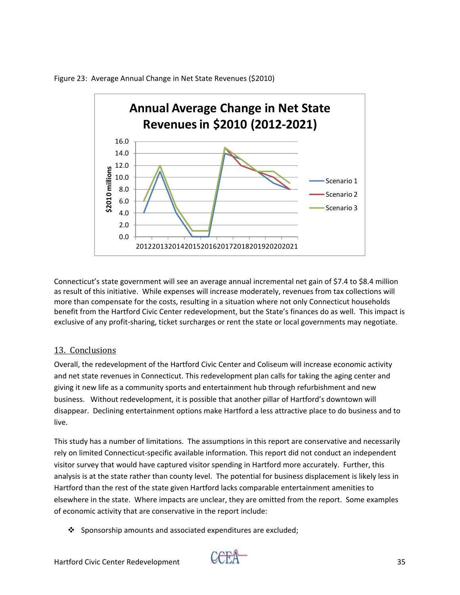

Figure 23: Average Annual Change in Net State Revenues (\$2010)

Connecticut's state government will see an average annual incremental net gain of \$7.4 to \$8.4 million as result of this initiative. While expenses will increase moderately, revenues from tax collections will more than compensate for the costs, resulting in a situation where not only Connecticut households benefit from the Hartford Civic Center redevelopment, but the State's finances do as well. This impact is exclusive of any profit-sharing, ticket surcharges or rent the state or local governments may negotiate.

#### 13. Conclusions

Overall, the redevelopment of the Hartford Civic Center and Coliseum will increase economic activity and net state revenues in Connecticut. This redevelopment plan calls for taking the aging center and giving it new life as a community sports and entertainment hub through refurbishment and new business. Without redevelopment, it is possible that another pillar of Hartford's downtown will disappear. Declining entertainment options make Hartford a less attractive place to do business and to live.

This study has a number of limitations. The assumptions in this report are conservative and necessarily rely on limited Connecticut‐specific available information. This report did not conduct an independent visitor survey that would have captured visitor spending in Hartford more accurately. Further, this analysis is at the state rather than county level. The potential for business displacement is likely less in Hartford than the rest of the state given Hartford lacks comparable entertainment amenities to elsewhere in the state. Where impacts are unclear, they are omitted from the report. Some examples of economic activity that are conservative in the report include:

 $\cdot$  Sponsorship amounts and associated expenditures are excluded;

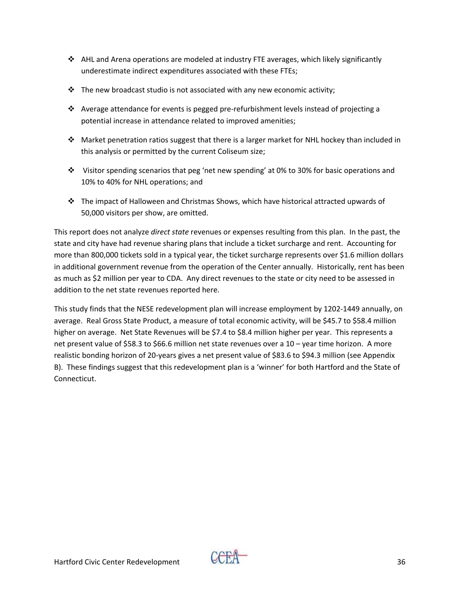- $\triangleleft$  AHL and Arena operations are modeled at industry FTE averages, which likely significantly underestimate indirect expenditures associated with these FTEs;
- $\cdot \cdot$  The new broadcast studio is not associated with any new economic activity;
- ◆ Average attendance for events is pegged pre-refurbishment levels instead of projecting a potential increase in attendance related to improved amenities;
- Market penetration ratios suggest that there is a larger market for NHL hockey than included in this analysis or permitted by the current Coliseum size;
- Visitor spending scenarios that peg 'net new spending' at 0% to 30% for basic operations and 10% to 40% for NHL operations; and
- The impact of Halloween and Christmas Shows, which have historical attracted upwards of 50,000 visitors per show, are omitted.

This report does not analyze *direct state* revenues or expenses resulting from this plan. In the past, the state and city have had revenue sharing plans that include a ticket surcharge and rent. Accounting for more than 800,000 tickets sold in a typical year, the ticket surcharge represents over \$1.6 million dollars in additional government revenue from the operation of the Center annually. Historically, rent has been as much as \$2 million per year to CDA. Any direct revenues to the state or city need to be assessed in addition to the net state revenues reported here.

This study finds that the NESE redevelopment plan will increase employment by 1202‐1449 annually, on average. Real Gross State Product, a measure of total economic activity, will be \$45.7 to \$58.4 million higher on average. Net State Revenues will be \$7.4 to \$8.4 million higher per year. This represents a net present value of \$58.3 to \$66.6 million net state revenues over a 10 – year time horizon. A more realistic bonding horizon of 20‐years gives a net present value of \$83.6 to \$94.3 million (see Appendix B). These findings suggest that this redevelopment plan is a 'winner' for both Hartford and the State of Connecticut.

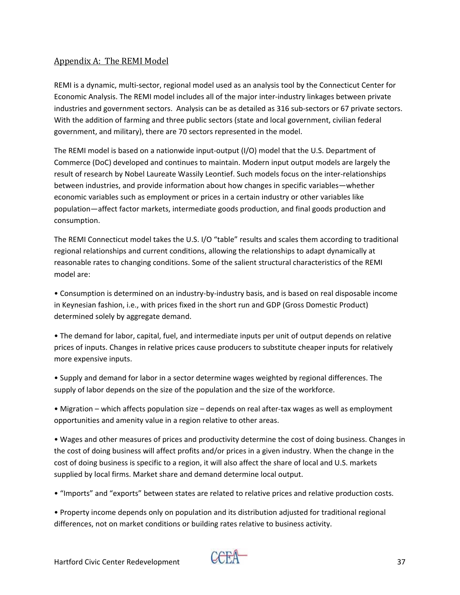#### Appendix A: The REMI Model

REMI is a dynamic, multi‐sector, regional model used as an analysis tool by the Connecticut Center for Economic Analysis. The REMI model includes all of the major inter‐industry linkages between private industries and government sectors. Analysis can be as detailed as 316 sub‐sectors or 67 private sectors. With the addition of farming and three public sectors (state and local government, civilian federal government, and military), there are 70 sectors represented in the model.

The REMI model is based on a nationwide input‐output (I/O) model that the U.S. Department of Commerce (DoC) developed and continues to maintain. Modern input output models are largely the result of research by Nobel Laureate Wassily Leontief. Such models focus on the inter‐relationships between industries, and provide information about how changes in specific variables—whether economic variables such as employment or prices in a certain industry or other variables like population—affect factor markets, intermediate goods production, and final goods production and consumption.

The REMI Connecticut model takes the U.S. I/O "table" results and scales them according to traditional regional relationships and current conditions, allowing the relationships to adapt dynamically at reasonable rates to changing conditions. Some of the salient structural characteristics of the REMI model are:

• Consumption is determined on an industry‐by‐industry basis, and is based on real disposable income in Keynesian fashion, i.e., with prices fixed in the short run and GDP (Gross Domestic Product) determined solely by aggregate demand.

• The demand for labor, capital, fuel, and intermediate inputs per unit of output depends on relative prices of inputs. Changes in relative prices cause producers to substitute cheaper inputs for relatively more expensive inputs.

• Supply and demand for labor in a sector determine wages weighted by regional differences. The supply of labor depends on the size of the population and the size of the workforce.

• Migration – which affects population size – depends on real after-tax wages as well as employment opportunities and amenity value in a region relative to other areas.

• Wages and other measures of prices and productivity determine the cost of doing business. Changes in the cost of doing business will affect profits and/or prices in a given industry. When the change in the cost of doing business is specific to a region, it will also affect the share of local and U.S. markets supplied by local firms. Market share and demand determine local output.

• "Imports" and "exports" between states are related to relative prices and relative production costs.

• Property income depends only on population and its distribution adjusted for traditional regional differences, not on market conditions or building rates relative to business activity.

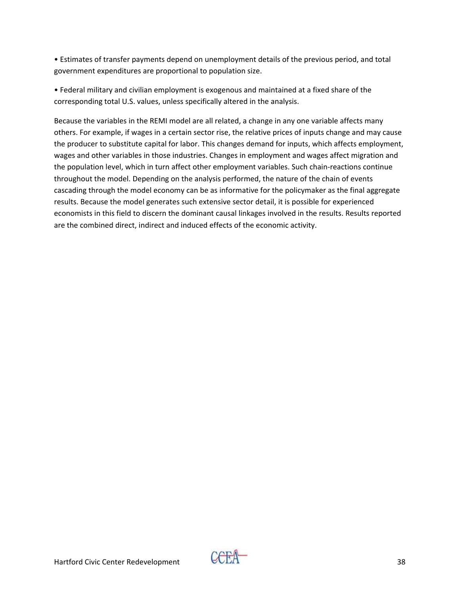• Estimates of transfer payments depend on unemployment details of the previous period, and total government expenditures are proportional to population size.

• Federal military and civilian employment is exogenous and maintained at a fixed share of the corresponding total U.S. values, unless specifically altered in the analysis.

Because the variables in the REMI model are all related, a change in any one variable affects many others. For example, if wages in a certain sector rise, the relative prices of inputs change and may cause the producer to substitute capital for labor. This changes demand for inputs, which affects employment, wages and other variables in those industries. Changes in employment and wages affect migration and the population level, which in turn affect other employment variables. Such chain‐reactions continue throughout the model. Depending on the analysis performed, the nature of the chain of events cascading through the model economy can be as informative for the policymaker as the final aggregate results. Because the model generates such extensive sector detail, it is possible for experienced economists in this field to discern the dominant causal linkages involved in the results. Results reported are the combined direct, indirect and induced effects of the economic activity.

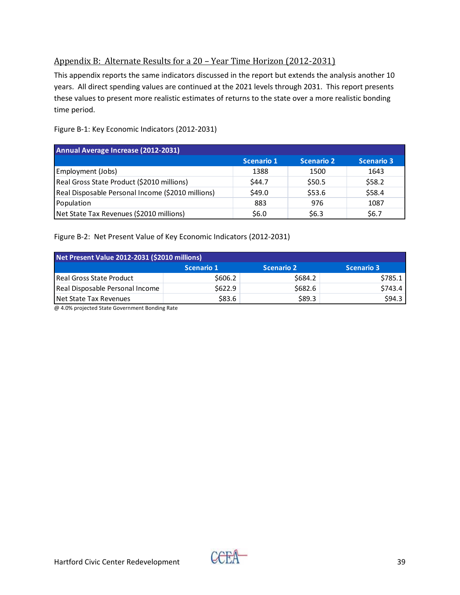## Appendix B: Alternate Results for a 20 – Year Time Horizon (2012‐2031)

This appendix reports the same indicators discussed in the report but extends the analysis another 10 years. All direct spending values are continued at the 2021 levels through 2031. This report presents these values to present more realistic estimates of returns to the state over a more realistic bonding time period.

| Annual Average Increase (2012-2031)               |            |                   |                   |  |  |  |  |
|---------------------------------------------------|------------|-------------------|-------------------|--|--|--|--|
|                                                   | Scenario 1 | <b>Scenario 2</b> | <b>Scenario 3</b> |  |  |  |  |
| Employment (Jobs)                                 | 1388       | 1500              | 1643              |  |  |  |  |
| Real Gross State Product (\$2010 millions)        | S44.7      | \$50.5            | \$58.2            |  |  |  |  |
| Real Disposable Personal Income (\$2010 millions) | \$49.0     | \$53.6            | \$58.4            |  |  |  |  |
| Population                                        | 883        | 976               | 1087              |  |  |  |  |
| Net State Tax Revenues (\$2010 millions)          | S6.0       | \$6.3             | \$6.7             |  |  |  |  |

Figure B‐1: Key Economic Indicators (2012‐2031)

Figure B‐2: Net Present Value of Key Economic Indicators (2012‐2031)

| Net Present Value 2012-2031 (\$2010 millions) |                   |                   |                   |
|-----------------------------------------------|-------------------|-------------------|-------------------|
|                                               | <b>Scenario 1</b> | <b>Scenario 2</b> | <b>Scenario 3</b> |
| <b>Real Gross State Product</b>               | \$606.2           | \$684.2           | S785.1            |
| Real Disposable Personal Income               | \$622.9           | \$682.6           | \$743.4           |
| Net State Tax Revenues                        | \$83.6            | \$89.3            | \$94.3            |

@ 4.0% projected State Government Bonding Rate

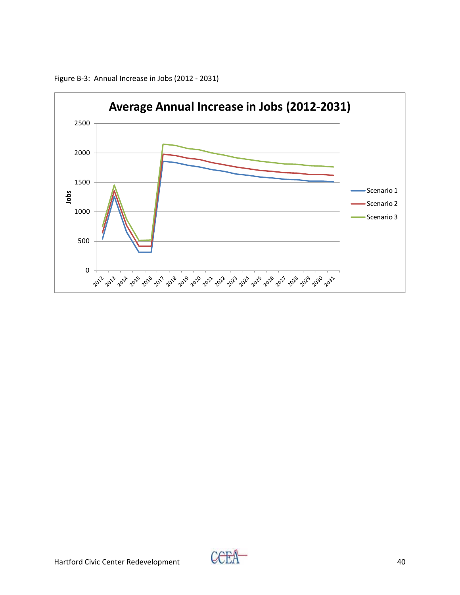

Figure B‐3: Annual Increase in Jobs (2012 ‐ 2031)

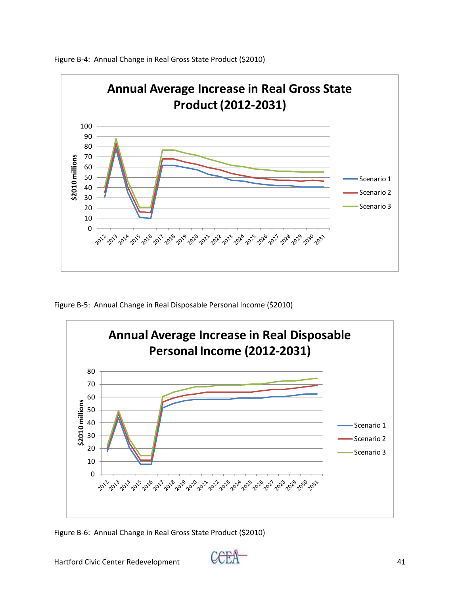

Figure B‐4: Annual Change in Real Gross State Product (\$2010)

Figure B‐5: Annual Change in Real Disposable Personal Income (\$2010)



Figure B‐6: Annual Change in Real Gross State Product (\$2010)